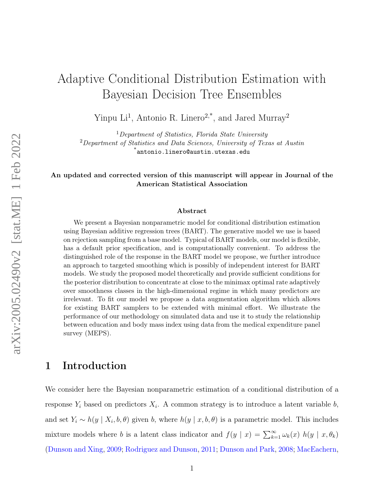# Adaptive Conditional Distribution Estimation with Bayesian Decision Tree Ensembles

Yinpu Li<sup>1</sup>, Antonio R. Linero<sup>2,\*</sup>, and Jared Murray<sup>2</sup>

 $1$ Department of Statistics, Florida State University <sup>2</sup>Department of Statistics and Data Sciences, University of Texas at Austin \*antonio.linero@austin.utexas.edu

#### An updated and corrected version of this manuscript will appear in Journal of the American Statistical Association

#### Abstract

We present a Bayesian nonparametric model for conditional distribution estimation using Bayesian additive regression trees (BART). The generative model we use is based on rejection sampling from a base model. Typical of BART models, our model is flexible, has a default prior specification, and is computationally convenient. To address the distinguished role of the response in the BART model we propose, we further introduce an approach to targeted smoothing which is possibly of independent interest for BART models. We study the proposed model theoretically and provide sufficient conditions for the posterior distribution to concentrate at close to the minimax optimal rate adaptively over smoothness classes in the high-dimensional regime in which many predictors are irrelevant. To fit our model we propose a data augmentation algorithm which allows for existing BART samplers to be extended with minimal effort. We illustrate the performance of our methodology on simulated data and use it to study the relationship between education and body mass index using data from the medical expenditure panel survey (MEPS).

### 1 Introduction

We consider here the Bayesian nonparametric estimation of a conditional distribution of a response  $Y_i$  based on predictors  $X_i$ . A common strategy is to introduce a latent variable b, and set  $Y_i \sim h(y \mid X_i, b, \theta)$  given b, where  $h(y \mid x, b, \theta)$  is a parametric model. This includes mixture models where b is a latent class indicator and  $f(y | x) = \sum_{k=1}^{\infty} \omega_k(x) h(y | x, \theta_k)$ [\(Dunson and Xing,](#page-30-0) [2009;](#page-30-0) [Rodriguez and Dunson,](#page-32-0) [2011;](#page-32-0) [Dunson and Park,](#page-30-1) [2008;](#page-30-1) [MacEachern,](#page-31-0)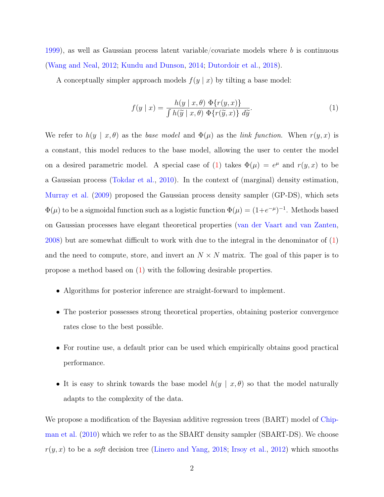[1999\)](#page-31-0), as well as Gaussian process latent variable/covariate models where b is continuous [\(Wang and Neal,](#page-32-1) [2012;](#page-32-1) [Kundu and Dunson,](#page-31-1) [2014;](#page-31-1) [Dutordoir et al.,](#page-30-2) [2018\)](#page-30-2).

A conceptually simpler approach models  $f(y | x)$  by tilting a base model:

<span id="page-1-0"></span>
$$
f(y \mid x) = \frac{h(y \mid x, \theta) \Phi\{r(y, x)\}}{\int h(\widetilde{y} \mid x, \theta) \Phi\{r(\widetilde{y}, x)\} \ d\widetilde{y}}.
$$
 (1)

We refer to  $h(y \mid x, \theta)$  as the base model and  $\Phi(\mu)$  as the link function. When  $r(y, x)$  is a constant, this model reduces to the base model, allowing the user to center the model on a desired parametric model. A special case of [\(1\)](#page-1-0) takes  $\Phi(\mu) = e^{\mu}$  and  $r(y, x)$  to be a Gaussian process [\(Tokdar et al.,](#page-32-2) [2010\)](#page-32-2). In the context of (marginal) density estimation, [Murray et al.](#page-31-2) [\(2009\)](#page-31-2) proposed the Gaussian process density sampler (GP-DS), which sets  $\Phi(\mu)$  to be a sigmoidal function such as a logistic function  $\Phi(\mu) = (1 + e^{-\mu})^{-1}$ . Methods based on Gaussian processes have elegant theoretical properties [\(van der Vaart and van Zanten,](#page-32-3) [2008\)](#page-32-3) but are somewhat difficult to work with due to the integral in the denominator of [\(1\)](#page-1-0) and the need to compute, store, and invert an  $N \times N$  matrix. The goal of this paper is to propose a method based on [\(1\)](#page-1-0) with the following desirable properties.

- Algorithms for posterior inference are straight-forward to implement.
- The posterior possesses strong theoretical properties, obtaining posterior convergence rates close to the best possible.
- For routine use, a default prior can be used which empirically obtains good practical performance.
- It is easy to shrink towards the base model  $h(y | x, \theta)$  so that the model naturally adapts to the complexity of the data.

We propose a modification of the Bayesian additive regression trees (BART) model of [Chip](#page-30-3)[man et al.](#page-30-3) [\(2010\)](#page-30-3) which we refer to as the SBART density sampler (SBART-DS). We choose  $r(y, x)$  to be a *soft* decision tree [\(Linero and Yang,](#page-31-3) [2018;](#page-31-3) [Irsoy et al.,](#page-30-4) [2012\)](#page-30-4) which smooths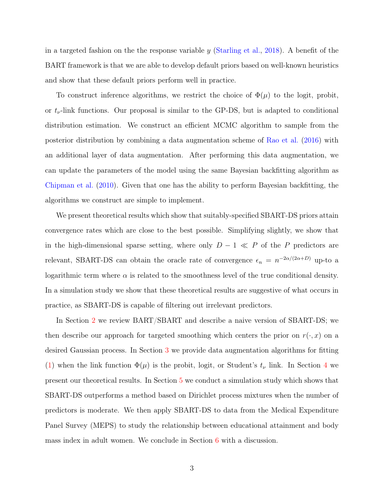in a targeted fashion on the the response variable y [\(Starling et al.,](#page-32-4) [2018\)](#page-32-4). A benefit of the BART framework is that we are able to develop default priors based on well-known heuristics and show that these default priors perform well in practice.

To construct inference algorithms, we restrict the choice of  $\Phi(\mu)$  to the logit, probit, or  $t_{\nu}$ -link functions. Our proposal is similar to the GP-DS, but is adapted to conditional distribution estimation. We construct an efficient MCMC algorithm to sample from the posterior distribution by combining a data augmentation scheme of [Rao et al.](#page-32-5) [\(2016\)](#page-32-5) with an additional layer of data augmentation. After performing this data augmentation, we can update the parameters of the model using the same Bayesian backfitting algorithm as [Chipman et al.](#page-30-3) [\(2010\)](#page-30-3). Given that one has the ability to perform Bayesian backfitting, the algorithms we construct are simple to implement.

We present theoretical results which show that suitably-specified SBART-DS priors attain convergence rates which are close to the best possible. Simplifying slightly, we show that in the high-dimensional sparse setting, where only  $D-1 \ll P$  of the P predictors are relevant, SBART-DS can obtain the oracle rate of convergence  $\epsilon_n = n^{-2\alpha/(2\alpha+D)}$  up-to a logarithmic term where  $\alpha$  is related to the smoothness level of the true conditional density. In a simulation study we show that these theoretical results are suggestive of what occurs in practice, as SBART-DS is capable of filtering out irrelevant predictors.

In Section [2](#page-3-0) we review BART/SBART and describe a naive version of SBART-DS; we then describe our approach for targeted smoothing which centers the prior on  $r(\cdot, x)$  on a desired Gaussian process. In Section [3](#page-9-0) we provide data augmentation algorithms for fitting [\(1\)](#page-1-0) when the link function  $\Phi(\mu)$  is the probit, logit, or Student's  $t_{\nu}$  link. In Section [4](#page-12-0) we present our theoretical results. In Section [5](#page-18-0) we conduct a simulation study which shows that SBART-DS outperforms a method based on Dirichlet process mixtures when the number of predictors is moderate. We then apply SBART-DS to data from the Medical Expenditure Panel Survey (MEPS) to study the relationship between educational attainment and body mass index in adult women. We conclude in Section [6](#page-23-0) with a discussion.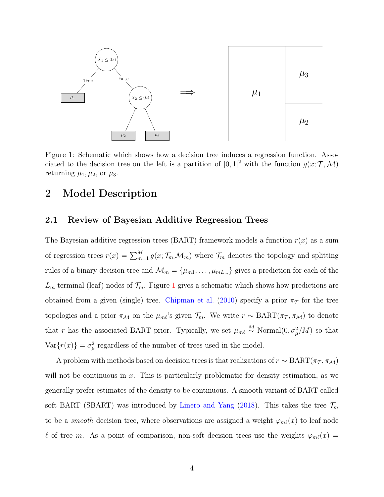

<span id="page-3-1"></span>Figure 1: Schematic which shows how a decision tree induces a regression function. Associated to the decision tree on the left is a partition of  $[0,1]^2$  with the function  $g(x;\mathcal{T},\mathcal{M})$ returning  $\mu_1, \mu_2$ , or  $\mu_3$ .

### <span id="page-3-0"></span>2 Model Description

#### 2.1 Review of Bayesian Additive Regression Trees

The Bayesian additive regression trees (BART) framework models a function  $r(x)$  as a sum of regression trees  $r(x) = \sum_{m=1}^{M} g(x; \mathcal{T}_m, \mathcal{M}_m)$  where  $\mathcal{T}_m$  denotes the topology and splitting rules of a binary decision tree and  $\mathcal{M}_m = {\mu_{m1}, \dots, \mu_{mL_m}}$  gives a prediction for each of the  $L_m$  terminal (leaf) nodes of  $\mathcal{T}_m$ . Figure [1](#page-3-1) gives a schematic which shows how predictions are obtained from a given (single) tree. [Chipman et al.](#page-30-3) [\(2010\)](#page-30-3) specify a prior  $\pi_{\mathcal{T}}$  for the tree topologies and a prior  $\pi_M$  on the  $\mu_{m\ell}$ 's given  $\mathcal{T}_m$ . We write  $r \sim \text{BART}(\pi_{\mathcal{T}}, \pi_{\mathcal{M}})$  to denote that r has the associated BART prior. Typically, we set  $\mu_{m\ell} \stackrel{\text{iid}}{\sim} \text{Normal}(0, \sigma^2_{\mu}/M)$  so that  $Var{r(x)} = \sigma_{\mu}^{2}$  regardless of the number of trees used in the model.

A problem with methods based on decision trees is that realizations of  $r \sim \text{BART}(\pi_{\mathcal{T}}, \pi_{\mathcal{M}})$ will not be continuous in  $x$ . This is particularly problematic for density estimation, as we generally prefer estimates of the density to be continuous. A smooth variant of BART called soft BART (SBART) was introduced by [Linero and Yang](#page-31-3) [\(2018\)](#page-31-3). This takes the tree  $\mathcal{T}_m$ to be a *smooth* decision tree, where observations are assigned a weight  $\varphi_{m\ell}(x)$  to leaf node  $\ell$  of tree m. As a point of comparison, non-soft decision trees use the weights  $\varphi_{m\ell}(x) =$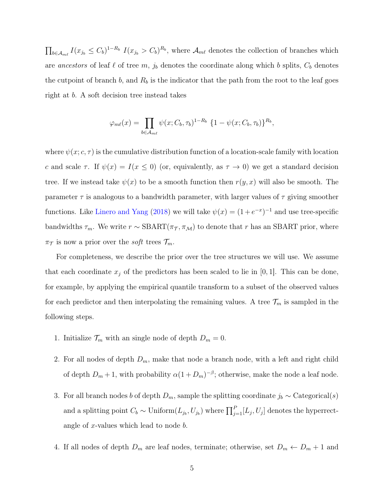$\prod_{b\in\mathcal{A}_{m\ell}} I(x_{j_b} \leq C_b)^{1-R_b} I(x_{j_b} > C_b)^{R_b}$ , where  $\mathcal{A}_{m\ell}$  denotes the collection of branches which are ancestors of leaf  $\ell$  of tree m,  $j_b$  denotes the coordinate along which b splits,  $C_b$  denotes the cutpoint of branch  $b$ , and  $R_b$  is the indicator that the path from the root to the leaf goes right at b. A soft decision tree instead takes

$$
\varphi_{m\ell}(x) = \prod_{b \in \mathcal{A}_{m\ell}} \psi(x; C_b, \tau_b)^{1-R_b} \{1 - \psi(x; C_b, \tau_b)\}^{R_b},
$$

where  $\psi(x; c, \tau)$  is the cumulative distribution function of a location-scale family with location c and scale  $\tau$ . If  $\psi(x) = I(x \le 0)$  (or, equivalently, as  $\tau \to 0$ ) we get a standard decision tree. If we instead take  $\psi(x)$  to be a smooth function then  $r(y, x)$  will also be smooth. The parameter  $\tau$  is analogous to a bandwidth parameter, with larger values of  $\tau$  giving smoother functions. Like [Linero and Yang](#page-31-3) [\(2018\)](#page-31-3) we will take  $\psi(x) = (1 + e^{-x})^{-1}$  and use tree-specific bandwidths  $\tau_m$ . We write  $r \sim \text{SBART}(\pi_T, \pi_M)$  to denote that r has an SBART prior, where  $\pi_{\mathcal{T}}$  is now a prior over the *soft* trees  $\mathcal{T}_m$ .

For completeness, we describe the prior over the tree structures we will use. We assume that each coordinate  $x_j$  of the predictors has been scaled to lie in [0, 1]. This can be done, for example, by applying the empirical quantile transform to a subset of the observed values for each predictor and then interpolating the remaining values. A tree  $\mathcal{T}_m$  is sampled in the following steps.

- 1. Initialize  $\mathcal{T}_m$  with an single node of depth  $D_m = 0$ .
- 2. For all nodes of depth  $D_m$ , make that node a branch node, with a left and right child of depth  $D_m + 1$ , with probability  $\alpha(1 + D_m)^{-\beta}$ ; otherwise, make the node a leaf node.
- 3. For all branch nodes b of depth  $D_m$ , sample the splitting coordinate  $j_b \sim$  Categorical(s) and a splitting point  $C_b \sim \text{Uniform}(L_{j_b}, U_{j_b})$  where  $\prod_{j=1}^P [L_j, U_j]$  denotes the hyperrectangle of x-values which lead to node b.
- 4. If all nodes of depth  $D_m$  are leaf nodes, terminate; otherwise, set  $D_m \leftarrow D_m + 1$  and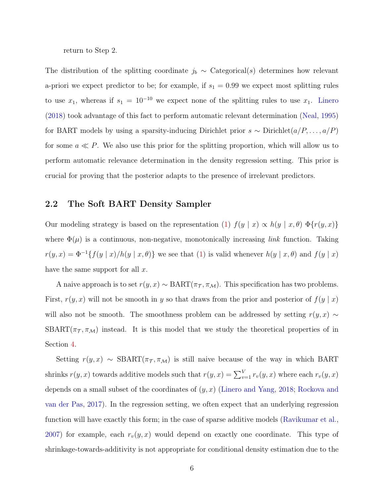return to Step 2.

The distribution of the splitting coordinate  $j_b \sim$  Categorical(s) determines how relevant a-priori we expect predictor to be; for example, if  $s_1 = 0.99$  we expect most splitting rules to use  $x_1$ , whereas if  $s_1 = 10^{-10}$  we expect none of the splitting rules to use  $x_1$ . [Linero](#page-31-4) [\(2018\)](#page-31-4) took advantage of this fact to perform automatic relevant determination [\(Neal,](#page-31-5) [1995\)](#page-31-5) for BART models by using a sparsity-inducing Dirichlet prior  $s \sim$  Dirichlet $(a/P, \ldots, a/P)$ for some  $a \ll P$ . We also use this prior for the splitting proportion, which will allow us to perform automatic relevance determination in the density regression setting. This prior is crucial for proving that the posterior adapts to the presence of irrelevant predictors.

#### 2.2 The Soft BART Density Sampler

Our modeling strategy is based on the representation [\(1\)](#page-1-0)  $f(y | x) \propto h(y | x, \theta) \Phi\{r(y, x)\}\$ where  $\Phi(\mu)$  is a continuous, non-negative, monotonically increasing *link* function. Taking  $r(y, x) = \Phi^{-1}{f(y | x)}/h(y | x, \theta)$  we see that [\(1\)](#page-1-0) is valid whenever  $h(y | x, \theta)$  and  $f(y | x)$ have the same support for all  $x$ .

A naive approach is to set  $r(y, x) \sim \text{BART}(\pi_{\tau}, \pi_{\mathcal{M}})$ . This specification has two problems. First,  $r(y, x)$  will not be smooth in y so that draws from the prior and posterior of  $f(y | x)$ will also not be smooth. The smoothness problem can be addressed by setting  $r(y, x) \sim$ SBART( $\pi_{\tau}$ ,  $\pi_{\mathcal{M}}$ ) instead. It is this model that we study the theoretical properties of in Section [4.](#page-12-0)

Setting  $r(y, x) \sim \text{SBART}(\pi_T, \pi_M)$  is still naive because of the way in which BART shrinks  $r(y, x)$  towards additive models such that  $r(y, x) = \sum_{v=1}^{V} r_v(y, x)$  where each  $r_v(y, x)$ depends on a small subset of the coordinates of  $(y, x)$  [\(Linero and Yang,](#page-31-3) [2018;](#page-31-3) [Rockova and](#page-32-6) [van der Pas,](#page-32-6) [2017\)](#page-32-6). In the regression setting, we often expect that an underlying regression function will have exactly this form; in the case of sparse additive models [\(Ravikumar et al.,](#page-32-7) [2007\)](#page-32-7) for example, each  $r_v(y, x)$  would depend on exactly one coordinate. This type of shrinkage-towards-additivity is not appropriate for conditional density estimation due to the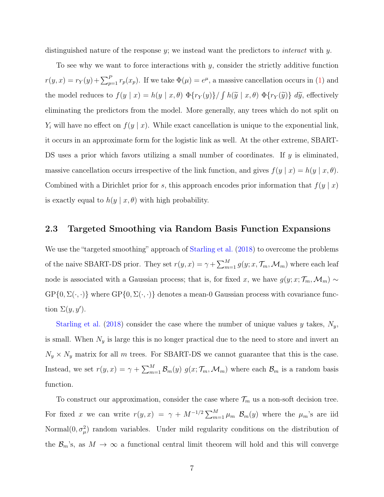distinguished nature of the response  $y$ ; we instead want the predictors to *interact* with  $y$ .

To see why we want to force interactions with  $y$ , consider the strictly additive function  $r(y,x) = r_Y(y) + \sum_{p=1}^P r_p(x_p)$ . If we take  $\Phi(\mu) = e^{\mu}$ , a massive cancellation occurs in [\(1\)](#page-1-0) and the model reduces to  $f(y | x) = h(y | x, \theta) \Phi\{r_Y(y)\} / \int h(\tilde{y} | x, \theta) \Phi\{r_Y(\tilde{y})\} d\tilde{y}$ , effectively eliminating the predictors from the model. More generally, any trees which do not split on  $Y_i$  will have no effect on  $f(y | x)$ . While exact cancellation is unique to the exponential link, it occurs in an approximate form for the logistic link as well. At the other extreme, SBART-DS uses a prior which favors utilizing a small number of coordinates. If y is eliminated, massive cancellation occurs irrespective of the link function, and gives  $f(y | x) = h(y | x, \theta)$ . Combined with a Dirichlet prior for s, this approach encodes prior information that  $f(y | x)$ is exactly equal to  $h(y | x, \theta)$  with high probability.

#### 2.3 Targeted Smoothing via Random Basis Function Expansions

We use the "targeted smoothing" approach of [Starling et al.](#page-32-4) [\(2018\)](#page-32-4) to overcome the problems of the naive SBART-DS prior. They set  $r(y, x) = \gamma + \sum_{m=1}^{M} g(y; x, \mathcal{T}_m, \mathcal{M}_m)$  where each leaf node is associated with a Gaussian process; that is, for fixed x, we have  $g(y; x; \mathcal{T}_m, \mathcal{M}_m) \sim$  $GP\{0, \Sigma(\cdot, \cdot)\}\$  where  $GP\{0, \Sigma(\cdot, \cdot)\}\$  denotes a mean-0 Gaussian process with covariance function  $\Sigma(y, y')$ .

[Starling et al.](#page-32-4) [\(2018\)](#page-32-4) consider the case where the number of unique values  $y$  takes,  $N_y$ , is small. When  $N_y$  is large this is no longer practical due to the need to store and invert an  $N_y \times N_y$  matrix for all m trees. For SBART-DS we cannot guarantee that this is the case. Instead, we set  $r(y, x) = \gamma + \sum_{m=1}^{M} \mathcal{B}_m(y) g(x; \mathcal{T}_m, \mathcal{M}_m)$  where each  $\mathcal{B}_m$  is a random basis function.

To construct our approximation, consider the case where  $\mathcal{T}_m$  us a non-soft decision tree. For fixed x we can write  $r(y, x) = \gamma + M^{-1/2} \sum_{m=1}^{M} \mu_m \mathcal{B}_m(y)$  where the  $\mu_m$ 's are iid Normal $(0, \sigma_\mu^2)$  random variables. Under mild regularity conditions on the distribution of the  $\mathcal{B}_m$ 's, as  $M \to \infty$  a functional central limit theorem will hold and this will converge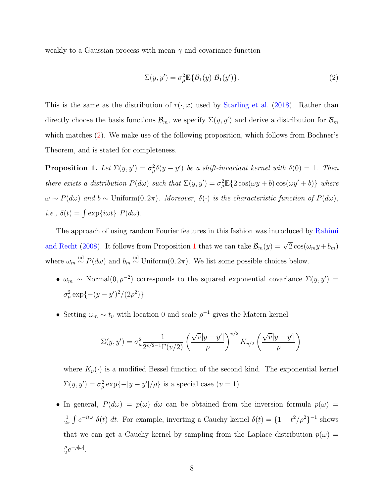weakly to a Gaussian process with mean  $\gamma$  and covariance function

<span id="page-7-0"></span>
$$
\Sigma(y, y') = \sigma_{\mu}^{2} \mathbb{E} \{ \mathcal{B}_{1}(y) \; \mathcal{B}_{1}(y') \}.
$$
 (2)

This is the same as the distribution of  $r(\cdot, x)$  used by [Starling et al.](#page-32-4) [\(2018\)](#page-32-4). Rather than directly choose the basis functions  $\mathcal{B}_m$ , we specify  $\Sigma(y, y')$  and derive a distribution for  $\mathcal{B}_m$ which matches [\(2\)](#page-7-0). We make use of the following proposition, which follows from Bochner's Theorem, and is stated for completeness.

<span id="page-7-1"></span>**Proposition 1.** Let  $\Sigma(y, y') = \sigma_{\mu}^2 \delta(y - y')$  be a shift-invariant kernel with  $\delta(0) = 1$ . Then there exists a distribution  $P(d\omega)$  such that  $\Sigma(y, y') = \sigma_\mu^2 \mathbb{E}\{2\cos(\omega y + b)\cos(\omega y' + b)\}\$  where  $\omega \sim P(d\omega)$  and  $b \sim$  Uniform $(0, 2\pi)$ . Moreover,  $\delta(\cdot)$  is the characteristic function of  $P(d\omega)$ , *i.e.*,  $\delta(t) = \int \exp\{i\omega t\} P(d\omega)$ .

The approach of using random Fourier features in this fashion was introduced by [Rahimi](#page-31-6) [and Recht](#page-31-6) [\(2008\)](#page-31-6). It follows from Proposition [1](#page-7-1) that we can take  $\mathcal{B}_m(y) = \sqrt{2} \cos(\omega_m y + b_m)$ where  $\omega_m \stackrel{\text{iid}}{\sim} P(d\omega)$  and  $b_m \stackrel{\text{iid}}{\sim}$  Uniform $(0, 2\pi)$ . We list some possible choices below.

- $\omega_m \sim \text{Normal}(0, \rho^{-2})$  corresponds to the squared exponential covariance  $\Sigma(y, y') =$  $\sigma_{\mu}^{2} \exp\{-(y-y')^{2}/(2\rho^{2})\}.$
- Setting  $\omega_m \sim t_\nu$  with location 0 and scale  $\rho^{-1}$  gives the Matern kernel

$$
\Sigma(y, y') = \sigma_{\mu}^2 \frac{1}{2^{\nu/2 - 1} \Gamma(\nu/2)} \left( \frac{\sqrt{\nu} |y - y'|}{\rho} \right)^{\nu/2} K_{\nu/2} \left( \frac{\sqrt{\nu} |y - y'|}{\rho} \right)
$$

where  $K_{\nu}(\cdot)$  is a modified Bessel function of the second kind. The exponential kernel  $\Sigma(y, y') = \sigma_{\mu}^2 \exp\{-|y - y'|/\rho\}$  is a special case  $(v = 1)$ .

• In general,  $P(d\omega) = p(\omega) d\omega$  can be obtained from the inversion formula  $p(\omega) =$ 1  $\frac{1}{2\pi} \int e^{-it\omega} \delta(t) dt$ . For example, inverting a Cauchy kernel  $\delta(t) = \{1 + t^2/\rho^2\}^{-1}$  shows that we can get a Cauchy kernel by sampling from the Laplace distribution  $p(\omega)$  = ρ  $\frac{\rho}{2}e^{-\rho|\omega|}.$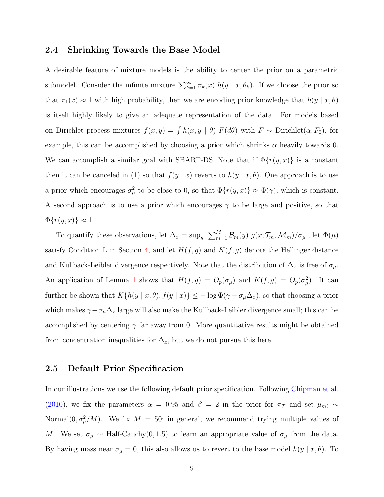#### 2.4 Shrinking Towards the Base Model

A desirable feature of mixture models is the ability to center the prior on a parametric submodel. Consider the infinite mixture  $\sum_{k=1}^{\infty} \pi_k(x) h(y | x, \theta_k)$ . If we choose the prior so that  $\pi_1(x) \approx 1$  with high probability, then we are encoding prior knowledge that  $h(y | x, \theta)$ is itself highly likely to give an adequate representation of the data. For models based on Dirichlet process mixtures  $f(x, y) = \int h(x, y | \theta) F(d\theta)$  with  $F \sim$  Dirichlet $(\alpha, F_0)$ , for example, this can be accomplished by choosing a prior which shrinks  $\alpha$  heavily towards 0. We can accomplish a similar goal with SBART-DS. Note that if  $\Phi\{r(y,x)\}\$ is a constant then it can be canceled in [\(1\)](#page-1-0) so that  $f(y | x)$  reverts to  $h(y | x, \theta)$ . One approach is to use a prior which encourages  $\sigma_{\mu}^2$  to be close to 0, so that  $\Phi\{r(y,x)\}\approx \Phi(\gamma)$ , which is constant. A second approach is to use a prior which encourages  $\gamma$  to be large and positive, so that  $\Phi\{r(y,x)\}\approx 1.$ 

To quantify these observations, let  $\Delta_x = \sup_y |\sum_{m=1}^M \mathcal{B}_m(y) g(x; \mathcal{T}_m, \mathcal{M}_m)/\sigma_\mu|$ , let  $\Phi(\mu)$ satisfy Condition L in Section [4,](#page-12-0) and let  $H(f, g)$  and  $K(f, g)$  denote the Hellinger distance and Kullback-Leibler divergence respectively. Note that the distribution of  $\Delta_x$  is free of  $\sigma_\mu$ . An application of Lemma [1](#page-17-0) shows that  $H(f,g) = O_p(\sigma_\mu)$  and  $K(f,g) = O_p(\sigma_\mu^2)$ . It can further be shown that  $K\{h(y | x, \theta), f(y | x)\}\leq -\log \Phi(\gamma - \sigma_\mu \Delta_x)$ , so that choosing a prior which makes  $\gamma - \sigma_\mu \Delta_x$  large will also make the Kullback-Leibler divergence small; this can be accomplished by centering  $\gamma$  far away from 0. More quantitative results might be obtained from concentration inequalities for  $\Delta_x$ , but we do not pursue this here.

#### 2.5 Default Prior Specification

In our illustrations we use the following default prior specification. Following [Chipman et al.](#page-30-3) [\(2010\)](#page-30-3), we fix the parameters  $\alpha = 0.95$  and  $\beta = 2$  in the prior for  $\pi_{\tau}$  and set  $\mu_{m\ell} \sim$ Normal $(0, \sigma_\mu^2/M)$ . We fix  $M = 50$ ; in general, we recommend trying multiple values of M. We set  $\sigma_{\mu} \sim \text{Half-Cauchy}(0, 1.5)$  to learn an appropriate value of  $\sigma_{\mu}$  from the data. By having mass near  $\sigma_{\mu} = 0$ , this also allows us to revert to the base model  $h(y | x, \theta)$ . To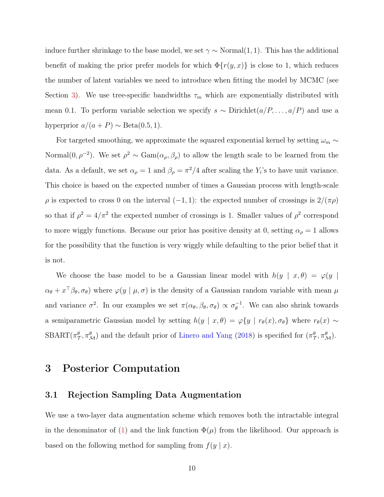induce further shrinkage to the base model, we set  $\gamma \sim \text{Normal}(1, 1)$ . This has the additional benefit of making the prior prefer models for which  $\Phi\{r(y,x)\}\$ is close to 1, which reduces the number of latent variables we need to introduce when fitting the model by MCMC (see Section [3\)](#page-9-0). We use tree-specific bandwidths  $\tau_m$  which are exponentially distributed with mean 0.1. To perform variable selection we specify  $s \sim$  Dirichlet $(a/P, \ldots, a/P)$  and use a hyperprior  $a/(a + P) \sim \text{Beta}(0.5, 1)$ .

For targeted smoothing, we approximate the squared exponential kernel by setting  $\omega_m \sim$ Normal $(0, \rho^{-2})$ . We set  $\rho^2 \sim \text{Gam}(\alpha_{\rho}, \beta_{\rho})$  to allow the length scale to be learned from the data. As a default, we set  $\alpha_{\rho} = 1$  and  $\beta_{\rho} = \pi^2/4$  after scaling the  $Y_i$ 's to have unit variance. This choice is based on the expected number of times a Gaussian process with length-scale  $\rho$  is expected to cross 0 on the interval  $(-1, 1)$ : the expected number of crossings is  $2/(\pi \rho)$ so that if  $\rho^2 = 4/\pi^2$  the expected number of crossings is 1. Smaller values of  $\rho^2$  correspond to more wiggly functions. Because our prior has positive density at 0, setting  $\alpha_{\rho} = 1$  allows for the possibility that the function is very wiggly while defaulting to the prior belief that it is not.

We choose the base model to be a Gaussian linear model with  $h(y | x, \theta) = \varphi(y |$  $\alpha_{\theta}$  +  $x^{\top}\beta_{\theta}, \sigma_{\theta}$  where  $\varphi(y \mid \mu, \sigma)$  is the density of a Gaussian random variable with mean  $\mu$ and variance  $\sigma^2$ . In our examples we set  $\pi(\alpha_\theta, \beta_\theta, \sigma_\theta) \propto \sigma_\theta^{-1}$  $_{\theta}^{-1}$ . We can also shrink towards a semiparametric Gaussian model by setting  $h(y | x, \theta) = \varphi\{y | r_{\theta}(x), \sigma_{\theta}\}\$  where  $r_{\theta}(x) \sim$  $\text{SBART}(\pi^{\theta}_{\mathcal{T}}, \pi^{\theta}_{\mathcal{M}})$  and the default prior of [Linero and Yang](#page-31-3) [\(2018\)](#page-31-3) is specified for  $(\pi^{\theta}_{\mathcal{T}}, \pi^{\theta}_{\mathcal{M}})$ .

### <span id="page-9-0"></span>3 Posterior Computation

#### <span id="page-9-1"></span>3.1 Rejection Sampling Data Augmentation

We use a two-layer data augmentation scheme which removes both the intractable integral in the denominator of [\(1\)](#page-1-0) and the link function  $\Phi(\mu)$  from the likelihood. Our approach is based on the following method for sampling from  $f(y | x)$ .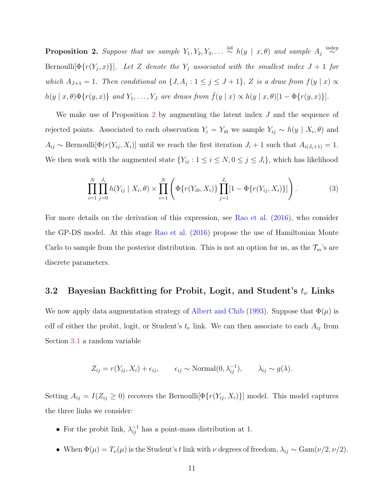<span id="page-10-0"></span>**Proposition 2.** Suppose that we sample  $Y_1, Y_2, Y_3, \ldots \stackrel{\text{iid}}{\sim} h(y \mid x, \theta)$  and sample  $A_j \stackrel{\text{indep}}{\sim}$  $\sim$ Bernoulli $[\Phi\{r(Y_j,x)\}]$ . Let Z denote the  $Y_j$  associated with the smallest index  $J+1$  for which  $A_{J+1} = 1$ . Then conditional on  $\{J, A_j : 1 \le j \le J+1\}$ , Z is a draw from  $f(y \mid x) \propto$  $h(y | x, \theta) \Phi\{r(y, x)\}\$ and  $Y_1, \ldots, Y_J$  are draws from  $\bar{f}(y | x) \propto h(y | x, \theta) [1 - \Phi\{r(y, x)\}]$ .

We make use of Proposition [2](#page-10-0) by augmenting the latent index  $J$  and the sequence of rejected points. Associated to each observation  $Y_i = Y_{i0}$  we sample  $Y_{ij} \sim h(y \mid X_i, \theta)$  and  $A_{ij} \sim \text{Bernoulli}[\Phi(r(Y_{ij}, X_i)]$  until we reach the first iteration  $J_i + 1$  such that  $A_{i(J_i+1)} = 1$ . We then work with the augmented state  $\{Y_{ij} : 1 \le i \le N, 0 \le j \le J_i\}$ , which has likelihood

<span id="page-10-1"></span>
$$
\prod_{i=1}^{N} \prod_{j=0}^{J_i} h(Y_{ij} \mid X_i, \theta) \times \prod_{i=1}^{N} \left( \Phi\{r(Y_{i0}, X_i)\} \prod_{j=1}^{J_i} [1 - \Phi\{r(Y_{ij}, X_i)\}] \right).
$$
 (3)

For more details on the derivation of this expression, see [Rao et al.](#page-32-5) [\(2016\)](#page-32-5), who consider the GP-DS model. At this stage [Rao et al.](#page-32-5) [\(2016\)](#page-32-5) propose the use of Hamiltonian Monte Carlo to sample from the posterior distribution. This is not an option for us, as the  $\mathcal{T}_m$ 's are discrete parameters.

### 3.2 Bayesian Backfitting for Probit, Logit, and Student's  $t_{\nu}$  Links

We now apply data augmentation strategy of [Albert and Chib](#page-29-0) [\(1993\)](#page-29-0). Suppose that  $\Phi(\mu)$  is cdf of either the probit, logit, or Student's  $t_{\nu}$  link. We can then associate to each  $A_{ij}$  from Section [3.1](#page-9-1) a random variable

$$
Z_{ij} = r(Y_{ij}, X_i) + \epsilon_{ij}, \qquad \epsilon_{ij} \sim \text{Normal}(0, \lambda_{ij}^{-1}), \qquad \lambda_{ij} \sim g(\lambda).
$$

Setting  $A_{ij} = I(Z_{ij} \ge 0)$  recovers the Bernoulli $[\Phi\{r(Y_{ij}, X_i)\}]$  model. This model captures the three links we consider:

- For the probit link,  $\lambda_{ij}^{-1}$  has a point-mass distribution at 1.
- When  $\Phi(\mu) = T_{\nu}(\mu)$  is the Student's t link with  $\nu$  degrees of freedom,  $\lambda_{ij} \sim \text{Gam}(\nu/2, \nu/2)$ .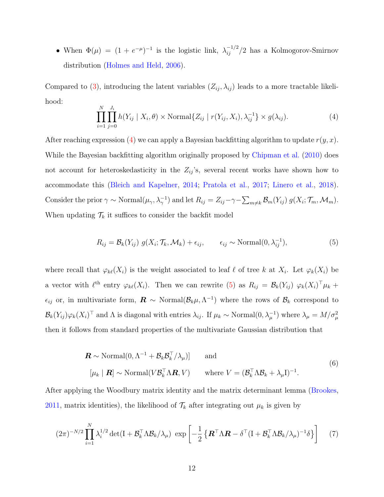• When  $\Phi(\mu) = (1 + e^{-\mu})^{-1}$  is the logistic link,  $\lambda_{ij}^{-1/2}/2$  has a Kolmogorov-Smirnov distribution [\(Holmes and Held,](#page-30-5) [2006\)](#page-30-5).

Compared to [\(3\)](#page-10-1), introducing the latent variables  $(Z_{ij}, \lambda_{ij})$  leads to a more tractable likelihood:

<span id="page-11-0"></span>
$$
\prod_{i=1}^{N} \prod_{j=0}^{J_i} h(Y_{ij} | X_i, \theta) \times \text{Normal}\{Z_{ij} | r(Y_{ij}, X_i), \lambda_{ij}^{-1}\} \times g(\lambda_{ij}).
$$
\n(4)

After reaching expression [\(4\)](#page-11-0) we can apply a Bayesian backfitting algorithm to update  $r(y, x)$ . While the Bayesian backfitting algorithm originally proposed by [Chipman et al.](#page-30-3) [\(2010\)](#page-30-3) does not account for heteroskedasticity in the  $Z_{ij}$ 's, several recent works have shown how to accommodate this [\(Bleich and Kapelner,](#page-29-1) [2014;](#page-29-1) [Pratola et al.,](#page-31-7) [2017;](#page-31-7) [Linero et al.,](#page-31-8) [2018\)](#page-31-8). Consider the prior  $\gamma \sim \text{Normal}(\mu_{\gamma}, \lambda_{\gamma}^{-1})$  and let  $R_{ij} = Z_{ij} - \gamma - \sum_{m \neq k} \mathcal{B}_m(Y_{ij}) g(X_i; \mathcal{T}_m, \mathcal{M}_m)$ . When updating  $\mathcal{T}_k$  it suffices to consider the backfit model

<span id="page-11-1"></span>
$$
R_{ij} = \mathcal{B}_k(Y_{ij}) g(X_i; \mathcal{T}_k, \mathcal{M}_k) + \epsilon_{ij}, \qquad \epsilon_{ij} \sim \text{Normal}(0, \lambda_{ij}^{-1}), \tag{5}
$$

where recall that  $\varphi_{k\ell}(X_i)$  is the weight associated to leaf  $\ell$  of tree k at  $X_i$ . Let  $\varphi_k(X_i)$  be a vector with  $\ell^{\text{th}}$  entry  $\varphi_{k\ell}(X_i)$ . Then we can rewrite [\(5\)](#page-11-1) as  $R_{ij} = \mathcal{B}_k(Y_{ij}) \varphi_k(X_i)^\top \mu_k +$  $\epsilon_{ij}$  or, in multivariate form,  $\mathbf{R} \sim \text{Normal}(\mathcal{B}_k \mu, \Lambda^{-1})$  where the rows of  $\mathcal{B}_k$  correspond to  $\mathcal{B}_k(Y_{ij})\varphi_k(X_i)^\top$  and  $\Lambda$  is diagonal with entries  $\lambda_{ij}$ . If  $\mu_k \sim \text{Normal}(0, \lambda_{\mu}^{-1})$  where  $\lambda_{\mu} = M/\sigma_{\mu}^2$ then it follows from standard properties of the multivariate Gaussian distribution that

$$
\mathbf{R} \sim \text{Normal}(0, \Lambda^{-1} + \mathcal{B}_k \mathcal{B}_k^{\top} / \lambda_{\mu})] \quad \text{and} \quad (6)
$$
  

$$
[\mu_k \mid \mathbf{R}] \sim \text{Normal}(V \mathcal{B}_k^{\top} \Lambda \mathbf{R}, V) \quad \text{where } V = (\mathcal{B}_k^{\top} \Lambda \mathcal{B}_k + \lambda_{\mu} I)^{-1}.
$$

After applying the Woodbury matrix identity and the matrix determinant lemma [\(Brookes,](#page-29-2) [2011,](#page-29-2) matrix identities), the likelihood of  $\mathcal{T}_k$  after integrating out  $\mu_k$  is given by

<span id="page-11-2"></span>
$$
(2\pi)^{-N/2} \prod_{i=1}^{N} \lambda_i^{1/2} \det(\mathbf{I} + \mathcal{B}_k^{\top} \Lambda \mathcal{B}_k / \lambda_{\mu}) \exp\left[ -\frac{1}{2} \left\{ \mathbf{R}^{\top} \Lambda \mathbf{R} - \delta^{\top} (\mathbf{I} + \mathcal{B}_k^{\top} \Lambda \mathcal{B}_k / \lambda_{\mu})^{-1} \delta \right\} \right] \tag{7}
$$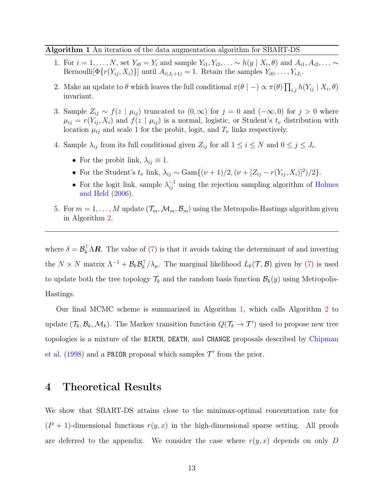Algorithm 1 An iteration of the data augmentation algorithm for SBART-DS

- 1. For  $i = 1, \ldots, N$ , set  $Y_{i0} = Y_i$  and sample  $Y_{i1}, Y_{i2}, \ldots \sim h(y \mid X_i, \theta)$  and  $A_{i1}, A_{i2}, \ldots \sim$ Bernoulli $[\Phi\{r(Y_{ij}, X_i)\}]$  until  $A_{i(J_i+1)} = 1$ . Retain the samples  $Y_{i0}, \ldots, Y_{iJ_i}$ .
- 2. Make an update to  $\theta$  which leaves the full conditional  $\pi(\theta \mid -) \propto \pi(\theta) \prod_{i,j} h(Y_{ij} \mid X_i, \theta)$ invariant.
- 3. Sample  $Z_{ij} \sim f(z \mid \mu_{ij})$  truncated to  $(0, \infty)$  for  $j = 0$  and  $(-\infty, 0)$  for  $j > 0$  where  $\mu_{ij} = r(Y_{ij}, X_i)$  and  $f(z | \mu_{ij})$  is a normal, logistic, or Student's  $t_{\nu}$  distribution with location  $\mu_{ij}$  and scale 1 for the probit, logit, and  $T_{\nu}$  links respectively.
- 4. Sample  $\lambda_{ij}$  from its full conditional given  $Z_{ij}$  for all  $1 \leq i \leq N$  and  $0 \leq j \leq J_i$ .
	- For the probit link,  $\lambda_{ij} \equiv 1$ .
	- For the Student's  $t_{\nu}$  link,  $\lambda_{ij} \sim \text{Gam}\{(\nu+1)/2, (\nu + [Z_{ij} r(Y_{ij}, X_i)]^2)/2\}.$
	- For the logit link, sample  $\lambda_{ij}^{-1}$  using the rejection sampling algorithm of [Holmes](#page-30-5) [and Held](#page-30-5) [\(2006\)](#page-30-5).
- <span id="page-12-1"></span>5. For  $m = 1, \ldots, M$  update  $(\mathcal{T}_m, \mathcal{M}_m, \mathcal{B}_m)$  using the Metropolis-Hastings algorithm given in Algorithm [2.](#page-13-0)

where  $\delta = \mathcal{B}_k^{\top} \Lambda \mathbf{R}$ . The value of [\(7\)](#page-11-2) is that it avoids taking the determinant of and inverting the  $N \times N$  matrix  $\Lambda^{-1} + \mathcal{B}_k \mathcal{B}_k^{\top}/\lambda_{\mu}$ . The marginal likelihood  $L_k(\mathcal{T}, \mathcal{B})$  given by [\(7\)](#page-11-2) is used to update both the tree topology  $\mathcal{T}_k$  and the random basis function  $\mathcal{B}_k(y)$  using Metropolis-Hastings.

Our final MCMC scheme is summarized in Algorithm [1,](#page-12-1) which calls Algorithm [2](#page-13-0) to update  $(\mathcal{T}_k, \mathcal{B}_k, \mathcal{M}_k)$ . The Markov transition function  $Q(\mathcal{T}_k \to \mathcal{T}')$  used to propose new tree topologies is a mixture of the BIRTH, DEATH, and CHANGE proposals described by [Chipman](#page-29-3) [et al.](#page-29-3) [\(1998\)](#page-29-3) and a PRIOR proposal which samples  $\mathcal{T}'$  from the prior.

### <span id="page-12-0"></span>4 Theoretical Results

We show that SBART-DS attains close to the minimax-optimal concentration rate for  $(P + 1)$ -dimensional functions  $r(y, x)$  in the high-dimensional sparse setting. All proofs are deferred to the appendix. We consider the case where  $r(y, x)$  depends on only D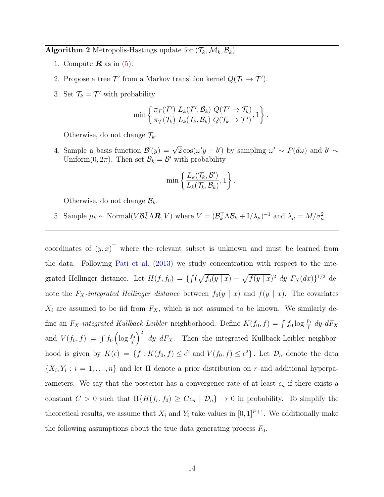Algorithm 2 Metropolis-Hastings update for  $(\mathcal{T}_k, \mathcal{M}_k, \mathcal{B}_k)$ 

- 1. Compute  $\boldsymbol{R}$  as in [\(5\)](#page-11-1).
- 2. Propose a tree  $\mathcal{T}'$  from a Markov transition kernel  $Q(\mathcal{T}_k \to \mathcal{T}')$ .
- 3. Set  $\mathcal{T}_k = \mathcal{T}'$  with probability

$$
\min \left\{ \frac{\pi_{\mathcal{T}}(\mathcal{T}') L_{k}(\mathcal{T}', \mathcal{B}_{k}) Q(\mathcal{T}' \to \mathcal{T}_{k})}{\pi_{\mathcal{T}}(\mathcal{T}_{k}) L_{k}(\mathcal{T}_{k}, \mathcal{B}_{k}) Q(\mathcal{T}_{k} \to \mathcal{T}')} , 1 \right\}.
$$

Otherwise, do not change  $\mathcal{T}_k$ .

4. Sample a basis function  $\mathcal{B}'(y) = \sqrt{2} \cos(\omega' y + b')$  by sampling  $\omega' \sim P(d\omega)$  and  $b' \sim$ Uniform $(0, 2\pi)$ . Then set  $\mathcal{B}_k = \mathcal{B}'$  with probability

$$
\min \left\{\frac{L_k(\mathcal{T}_k, \mathcal{B}')}{L_k(\mathcal{T}_k, \mathcal{B}_k)}, 1\right\}.
$$

Otherwise, do not change  $\mathcal{B}_k$ .

<span id="page-13-0"></span>5. Sample  $\mu_k \sim \text{Normal}(V \mathcal{B}_k^{\top} \Lambda \mathbf{R}, V)$  where  $V = (\mathcal{B}_k^{\top} \Lambda \mathcal{B}_k + I/\lambda_{\mu})^{-1}$  and  $\lambda_{\mu} = M/\sigma_{\mu}^2$ .

coordinates of  $(y, x)$ <sup>T</sup> where the relevant subset is unknown and must be learned from the data. Following [Pati et al.](#page-31-9) [\(2013\)](#page-31-9) we study concentration with respect to the integrated Hellinger distance. Let  $H(f, f_0) = \{ \int (\sqrt{f_0(y \mid x}) - \sqrt{f(y \mid x})^2 dy F_X(dx) \}^{1/2}$  denote the  $F_X$ -integrated Hellinger distance between  $f_0(y | x)$  and  $f(y | x)$ . The covariates  $X_i$  are assumed to be iid from  $F_X$ , which is not assumed to be known. We similarly define an  $F_X$ -integrated Kullback-Leibler neighborhood. Define  $K(f_0, f) = \int f_0 \log \frac{f_0}{f} dy dF_X$ and  $V(f_0, f) = \int f_0 \left( \log \frac{f_0}{f} \right)^2 dy dF_X$ . Then the integrated Kullback-Leibler neighborhood is given by  $K(\epsilon) = \{f: K(f_0, f) \leq \epsilon^2 \text{ and } V(f_0, f) \leq \epsilon^2\}$ . Let  $\mathcal{D}_n$  denote the data  $\{X_i, Y_i : i = 1, \ldots, n\}$  and let  $\Pi$  denote a prior distribution on r and additional hyperparameters. We say that the posterior has a convergence rate of at least  $\epsilon_n$  if there exists a constant  $C > 0$  such that  $\Pi\{H(f_r, f_0) \geq C\epsilon_n \mid \mathcal{D}_n\} \to 0$  in probability. To simplify the theoretical results, we assume that  $X_i$  and  $Y_i$  take values in  $[0, 1]^{P+1}$ . We additionally make the following assumptions about the true data generating process  $F_0$ .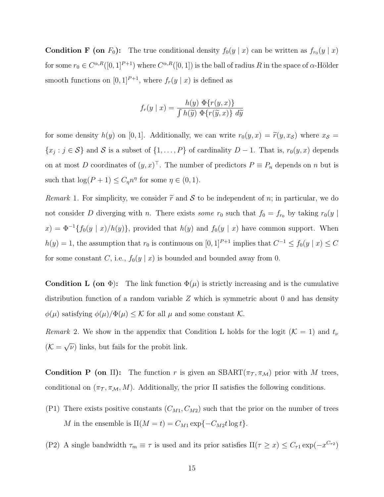**Condition F** (on  $F_0$ ): The true conditional density  $f_0(y | x)$  can be written as  $f_{r_0}(y | x)$ for some  $r_0 \in C^{\alpha,R}([0,1]^{P+1})$  where  $C^{\alpha,R}([0,1])$  is the ball of radius R in the space of  $\alpha$ -Hölder smooth functions on  $[0, 1]^{P+1}$ , where  $f_r(y | x)$  is defined as

$$
f_r(y \mid x) = \frac{h(y) \Phi\{r(y,x)\}}{\int h(\widetilde{y}) \Phi\{r(\widetilde{y},x)\} \ d\widetilde{y}}
$$

for some density  $h(y)$  on [0, 1]. Additionally, we can write  $r_0(y, x) = \tilde{r}(y, x_{\mathcal{S}})$  where  $x_{\mathcal{S}} =$  $\{x_j : j \in S\}$  and S is a subset of  $\{1, \ldots, P\}$  of cardinality  $D-1$ . That is,  $r_0(y, x)$  depends on at most D coordinates of  $(y, x)^\top$ . The number of predictors  $P \equiv P_n$  depends on n but is such that  $\log(P + 1) \leq C_{\eta} n^{\eta}$  for some  $\eta \in (0, 1)$ .

Remark 1. For simplicity, we consider  $\tilde{r}$  and S to be independent of n; in particular, we do not consider D diverging with n. There exists some  $r_0$  such that  $f_0 = f_{r_0}$  by taking  $r_0(y)$  $x) = \Phi^{-1}{f_0(y | x)}/h(y)$ , provided that  $h(y)$  and  $f_0(y | x)$  have common support. When  $h(y) = 1$ , the assumption that  $r_0$  is continuous on  $[0, 1]^{P+1}$  implies that  $C^{-1} \le f_0(y \mid x) \le C$ for some constant C, i.e.,  $f_0(y | x)$  is bounded and bounded away from 0.

Condition L (on  $\Phi$ ): The link function  $\Phi(\mu)$  is strictly increasing and is the cumulative distribution function of a random variable  $Z$  which is symmetric about 0 and has density  $\phi(\mu)$  satisfying  $\phi(\mu)/\Phi(\mu) \leq \mathcal{K}$  for all  $\mu$  and some constant  $\mathcal{K}$ .

Remark 2. We show in the appendix that Condition L holds for the logit  $(K = 1)$  and  $t_{\nu}$  $(\mathcal{K}=\sqrt{\nu})$  links, but fails for the probit link.

Condition P (on  $\Pi$ ): The function r is given an SBART( $\pi$ ,  $\pi$ <sub>M</sub>) prior with M trees, conditional on  $(\pi_{\mathcal{T}}, \pi_{\mathcal{M}}, M)$ . Additionally, the prior  $\Pi$  satisfies the following conditions.

(P1) There exists positive constants  $(C_{M1}, C_{M2})$  such that the prior on the number of trees M in the ensemble is  $\Pi(M = t) = C_{M1} \exp\{-C_{M2}t \log t\}.$ 

(P2) A single bandwidth  $\tau_m \equiv \tau$  is used and its prior satisfies  $\Pi(\tau \ge x) \le C_{\tau} \exp(-x^{C_{\tau^2}})$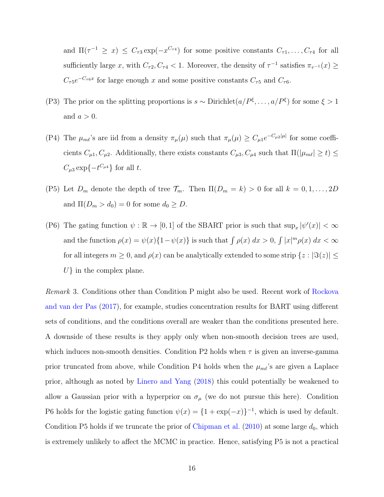and  $\Pi(\tau^{-1} \ge x) \le C_{\tau 3} \exp(-x^{C_{\tau 4}})$  for some positive constants  $C_{\tau 1}, \ldots, C_{\tau 4}$  for all sufficiently large x, with  $C_{\tau 2}$ ,  $C_{\tau 4}$  < 1. Moreover, the density of  $\tau^{-1}$  satisfies  $\pi_{\tau^{-1}}(x) \ge$  $C_{\tau 5}e^{-C_{\tau 6}x}$  for large enough x and some positive constants  $C_{\tau 5}$  and  $C_{\tau 6}$ .

- (P3) The prior on the splitting proportions is  $s \sim$  Dirichlet $(a/P^{\xi}, \ldots, a/P^{\xi})$  for some  $\xi > 1$ and  $a > 0$ .
- (P4) The  $\mu_{m\ell}$ 's are iid from a density  $\pi_{\mu}(\mu)$  such that  $\pi_{\mu}(\mu) \ge C_{\mu 1} e^{-C_{\mu 2}|\mu|}$  for some coefficients  $C_{\mu 1}$ ,  $C_{\mu 2}$ . Additionally, there exists constants  $C_{\mu 3}$ ,  $C_{\mu 4}$  such that  $\Pi(|\mu_{m\ell}| \ge t) \le$  $C_{\mu 3} \exp\{-t^{C_{\mu 4}}\}$  for all t.
- (P5) Let  $D_m$  denote the depth of tree  $\mathcal{T}_m$ . Then  $\Pi(D_m = k) > 0$  for all  $k = 0, 1, ..., 2D$ and  $\Pi(D_m > d_0) = 0$  for some  $d_0 \ge D$ .
- (P6) The gating function  $\psi : \mathbb{R} \to [0,1]$  of the SBART prior is such that  $\sup_x |\psi'(x)| < \infty$ and the function  $\rho(x) = \psi(x)\{1 - \psi(x)\}\$ is such that  $\int \rho(x) dx > 0$ ,  $\int |x|^m \rho(x) dx < \infty$ for all integers  $m \geq 0$ , and  $\rho(x)$  can be analytically extended to some strip  $\{z : |\Im(z)| \leq \rho\}$  $U\}$  in the complex plane.

Remark 3. Conditions other than Condition P might also be used. Recent work of [Rockova](#page-32-6) [and van der Pas](#page-32-6) [\(2017\)](#page-32-6), for example, studies concentration results for BART using different sets of conditions, and the conditions overall are weaker than the conditions presented here. A downside of these results is they apply only when non-smooth decision trees are used, which induces non-smooth densities. Condition P2 holds when  $\tau$  is given an inverse-gamma prior truncated from above, while Condition P4 holds when the  $\mu_{m\ell}$ 's are given a Laplace prior, although as noted by [Linero and Yang](#page-31-3) [\(2018\)](#page-31-3) this could potentially be weakened to allow a Gaussian prior with a hyperprior on  $\sigma_{\mu}$  (we do not pursue this here). Condition P6 holds for the logistic gating function  $\psi(x) = \{1 + \exp(-x)\}^{-1}$ , which is used by default. Condition P5 holds if we truncate the prior of [Chipman et al.](#page-30-3)  $(2010)$  at some large  $d_0$ , which is extremely unlikely to affect the MCMC in practice. Hence, satisfying P5 is not a practical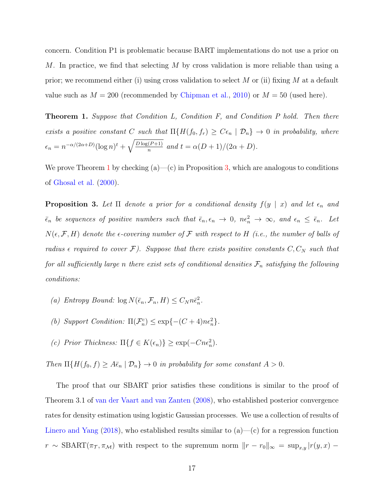concern. Condition P1 is problematic because BART implementations do not use a prior on M. In practice, we find that selecting M by cross validation is more reliable than using a prior; we recommend either (i) using cross validation to select M or (ii) fixing M at a default value such as  $M = 200$  (recommended by [Chipman et al.,](#page-30-3) [2010\)](#page-30-3) or  $M = 50$  (used here).

<span id="page-16-0"></span>**Theorem 1.** Suppose that Condition L, Condition F, and Condition P hold. Then there exists a positive constant C such that  $\Pi\{H(f_0, f_r) \geq C\epsilon_n \mid \mathcal{D}_n\} \to 0$  in probability, where  $\epsilon_n = n^{-\alpha/(2\alpha+D)}(\log n)^t + \sqrt{\frac{D\log(P+1)}{n}}$  $\frac{n^{(P+1)}}{n}$  and  $t = \alpha(D+1)/(2\alpha+D).$ 

We prove Theorem [1](#page-16-0) by checking  $(a)$ — $(c)$  in Proposition [3,](#page-16-1) which are analogous to conditions of [Ghosal et al.](#page-30-6) [\(2000\)](#page-30-6).

<span id="page-16-1"></span>**Proposition 3.** Let  $\Pi$  denote a prior for a conditional density  $f(y \mid x)$  and let  $\epsilon_n$  and  $\bar{\epsilon}_n$  be sequences of positive numbers such that  $\bar{\epsilon}_n, \epsilon_n \to 0$ ,  $n\epsilon_n^2 \to \infty$ , and  $\epsilon_n \leq \bar{\epsilon}_n$ . Let  $N(\epsilon, \mathcal{F}, H)$  denote the  $\epsilon$ -covering number of  $\mathcal F$  with respect to H (i.e., the number of balls of radius  $\epsilon$  required to cover  $\mathcal{F}$ ). Suppose that there exists positive constants  $C, C_N$  such that for all sufficiently large n there exist sets of conditional densities  $\mathcal{F}_n$  satisfying the following conditions:

- (a) Entropy Bound:  $\log N(\bar{\epsilon}_n, \mathcal{F}_n, H) \leq C_N n \bar{\epsilon}_n^2$ .
- (b) Support Condition:  $\Pi(\mathcal{F}_n^c) \leq \exp\{-(C+4)n\epsilon_n^2\}.$
- (c) Prior Thickness:  $\Pi\{f \in K(\epsilon_n)\} \geq \exp(-Cn\epsilon_n^2)$ .

Then  $\Pi\{H(f_0,f)\geq A\bar{\epsilon}_n \mid \mathcal{D}_n\}\to 0$  in probability for some constant  $A>0$ .

The proof that our SBART prior satisfies these conditions is similar to the proof of Theorem 3.1 of [van der Vaart and van Zanten](#page-32-3) [\(2008\)](#page-32-3), who established posterior convergence rates for density estimation using logistic Gaussian processes. We use a collection of results of [Linero and Yang](#page-31-3)  $(2018)$ , who established results similar to  $(a)$ — $(c)$  for a regression function  $r \sim \text{SBART}(\pi_T, \pi_M)$  with respect to the supremum norm  $||r - r_0||_{\infty} = \sup_{x,y} |r(y, x) - r(x, y)|$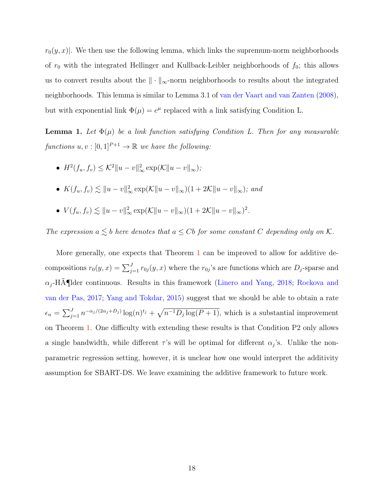$r_0(y, x)$ . We then use the following lemma, which links the supremum-norm neighborhoods of  $r_0$  with the integrated Hellinger and Kullback-Leibler neighborhoods of  $f_0$ ; this allows us to convert results about the  $\|\cdot\|_{\infty}$ -norm neighborhoods to results about the integrated neighborhoods. This lemma is similar to Lemma 3.1 of [van der Vaart and van Zanten](#page-32-3) [\(2008\)](#page-32-3), but with exponential link  $\Phi(\mu) = e^{\mu}$  replaced with a link satisfying Condition L.

<span id="page-17-0"></span>**Lemma 1.** Let  $\Phi(\mu)$  be a link function satisfying Condition L. Then for any measurable functions  $u, v : [0, 1]^{P+1} \to \mathbb{R}$  we have the following:

- $H^2(f_u, f_v) \leq \mathcal{K}^2 \|u v\|_{\infty}^2 \exp(\mathcal{K} \|u v\|_{\infty});$
- $K(f_u, f_v) \lesssim ||u v||_{\infty}^2 \exp(K||u v||_{\infty})(1 + 2K||u v||_{\infty});$  and
- $V(f_u, f_v) \lesssim ||u v||_{\infty}^2 \exp(K||u v||_{\infty})(1 + 2K||u v||_{\infty})^2$ .

The expression  $a \lesssim b$  here denotes that  $a \leq Cb$  for some constant C depending only on K.

More generally, one expects that Theorem [1](#page-16-0) can be improved to allow for additive decompositions  $r_0(y, x) = \sum_{j=1}^J r_{0j}(y, x)$  where the  $r_{0j}$ 's are functions which are  $D_j$ -sparse and  $\alpha_i$ -HA¶lder continuous. Results in this framework [\(Linero and Yang,](#page-31-3) [2018;](#page-31-3) [Rockova and](#page-32-6) [van der Pas,](#page-32-6) [2017;](#page-32-6) [Yang and Tokdar,](#page-32-8) [2015\)](#page-32-8) suggest that we should be able to obtain a rate  $\epsilon_n = \sum_{j=1}^J n^{-\alpha_j/(2\alpha_j+D_j)} \log(n)^{t_j} + \sqrt{n^{-1}D_j \log(P+1)}$ , which is a substantial improvement on Theorem [1.](#page-16-0) One difficulty with extending these results is that Condition P2 only allows a single bandwidth, while different  $\tau$ 's will be optimal for different  $\alpha_j$ 's. Unlike the nonparametric regression setting, however, it is unclear how one would interpret the additivity assumption for SBART-DS. We leave examining the additive framework to future work.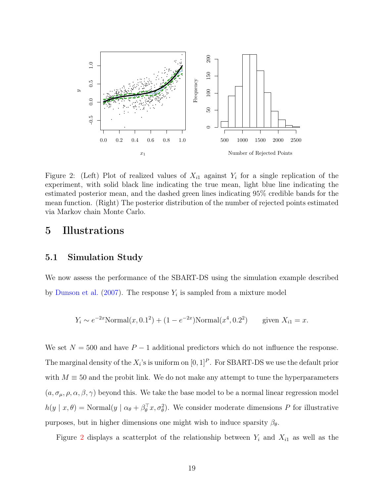

<span id="page-18-1"></span>Figure 2: (Left) Plot of realized values of  $X_{i1}$  against  $Y_i$  for a single replication of the experiment, with solid black line indicating the true mean, light blue line indicating the estimated posterior mean, and the dashed green lines indicating 95% credible bands for the mean function. (Right) The posterior distribution of the number of rejected points estimated via Markov chain Monte Carlo.

### <span id="page-18-0"></span>5 Illustrations

#### 5.1 Simulation Study

We now assess the performance of the SBART-DS using the simulation example described by [Dunson et al.](#page-30-7)  $(2007)$ . The response  $Y_i$  is sampled from a mixture model

$$
Y_i \sim e^{-2x}
$$
Normal $(x, 0.1^2) + (1 - e^{-2x})$ Normal $(x^4, 0.2^2)$  given  $X_{i1} = x$ .

We set  $N = 500$  and have  $P - 1$  additional predictors which do not influence the response. The marginal density of the  $X_i$ 's is uniform on  $[0,1]^P$ . For SBART-DS we use the default prior with  $M \equiv 50$  and the probit link. We do not make any attempt to tune the hyperparameters  $(a, \sigma_{\mu}, \rho, \alpha, \beta, \gamma)$  beyond this. We take the base model to be a normal linear regression model  $h(y | x, \theta) = \text{Normal}(y | \alpha_{\theta} + \beta_{\theta}^{T} x, \sigma_{\theta}^{2})$ . We consider moderate dimensions P for illustrative purposes, but in higher dimensions one might wish to induce sparsity  $\beta_{\theta}$ .

Figure [2](#page-18-1) displays a scatterplot of the relationship between  $Y_i$  and  $X_{i1}$  as well as the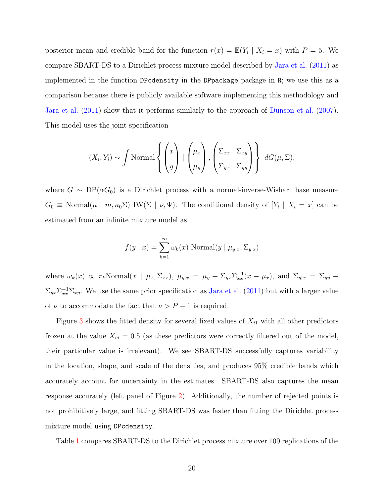posterior mean and credible band for the function  $r(x) = \mathbb{E}(Y_i | X_i = x)$  with  $P = 5$ . We compare SBART-DS to a Dirichlet process mixture model described by [Jara et al.](#page-30-8) [\(2011\)](#page-30-8) as implemented in the function DPcdensity in the DPpackage package in R; we use this as a comparison because there is publicly available software implementing this methodology and [Jara et al.](#page-30-8) [\(2011\)](#page-30-8) show that it performs similarly to the approach of [Dunson et al.](#page-30-7) [\(2007\)](#page-30-7). This model uses the joint specification

$$
(X_i, Y_i) \sim \int \text{Normal}\left\{ \begin{pmatrix} x \\ y \end{pmatrix} \mid \begin{pmatrix} \mu_x \\ \mu_y \end{pmatrix}, \begin{pmatrix} \Sigma_{xx} & \Sigma_{xy} \\ \Sigma_{yx} & \Sigma_{yy} \end{pmatrix} \right\} dG(\mu, \Sigma),
$$

where  $G \sim DP(\alpha G_0)$  is a Dirichlet process with a normal-inverse-Wishart base measure  $G_0 \equiv \text{Normal}(\mu \mid m, \kappa_0 \Sigma) \text{IW}(\Sigma \mid \nu, \Psi)$ . The conditional density of  $[Y_i \mid X_i = x]$  can be estimated from an infinite mixture model as

$$
f(y \mid x) = \sum_{k=1}^{\infty} \omega_k(x) \text{ Normal}(y \mid \mu_{y|x}, \Sigma_{y|x})
$$

where  $\omega_k(x) \propto \pi_k \text{Normal}(x \mid \mu_x, \Sigma_{xx}), \ \mu_{y|x} = \mu_y + \Sigma_{yx} \Sigma_{xx}^{-1}(x - \mu_x), \text{ and } \Sigma_{y|x} = \Sigma_{yy} \Sigma_{yx}\Sigma_{xx}^{-1}\Sigma_{xy}$ . We use the same prior specification as [Jara et al.](#page-30-8) [\(2011\)](#page-30-8) but with a larger value of  $\nu$  to accommodate the fact that  $\nu > P - 1$  is required.

Figure [3](#page-20-0) shows the fitted density for several fixed values of  $X_{i1}$  with all other predictors frozen at the value  $X_{ij} = 0.5$  (as these predictors were correctly filtered out of the model, their particular value is irrelevant). We see SBART-DS successfully captures variability in the location, shape, and scale of the densities, and produces 95% credible bands which accurately account for uncertainty in the estimates. SBART-DS also captures the mean response accurately (left panel of Figure [2\)](#page-18-1). Additionally, the number of rejected points is not prohibitively large, and fitting SBART-DS was faster than fitting the Dirichlet process mixture model using DPcdensity.

Table [1](#page-21-0) compares SBART-DS to the Dirichlet process mixture over 100 replications of the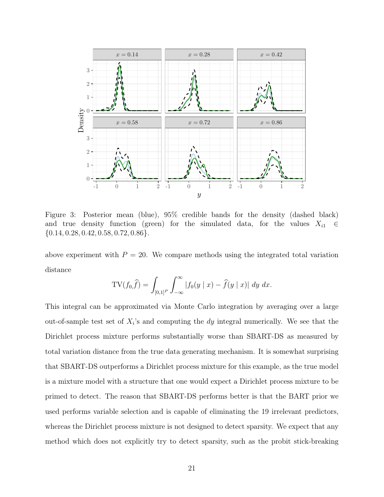

<span id="page-20-0"></span>Figure 3: Posterior mean (blue), 95% credible bands for the density (dashed black) and true density function (green) for the simulated data, for the values  $X_{i1} \in$  $\{0.14, 0.28, 0.42, 0.58, 0.72, 0.86\}.$ 

above experiment with  $P = 20$ . We compare methods using the integrated total variation distance

$$
TV(f_{0}, \hat{f}) = \int_{[0,1]^{P}} \int_{-\infty}^{\infty} |f_{0}(y \mid x) - \hat{f}(y \mid x)| \, dy \, dx.
$$

This integral can be approximated via Monte Carlo integration by averaging over a large out-of-sample test set of  $X_i$ 's and computing the dy integral numerically. We see that the Dirichlet process mixture performs substantially worse than SBART-DS as measured by total variation distance from the true data generating mechanism. It is somewhat surprising that SBART-DS outperforms a Dirichlet process mixture for this example, as the true model is a mixture model with a structure that one would expect a Dirichlet process mixture to be primed to detect. The reason that SBART-DS performs better is that the BART prior we used performs variable selection and is capable of eliminating the 19 irrelevant predictors, whereas the Dirichlet process mixture is not designed to detect sparsity. We expect that any method which does not explicitly try to detect sparsity, such as the probit stick-breaking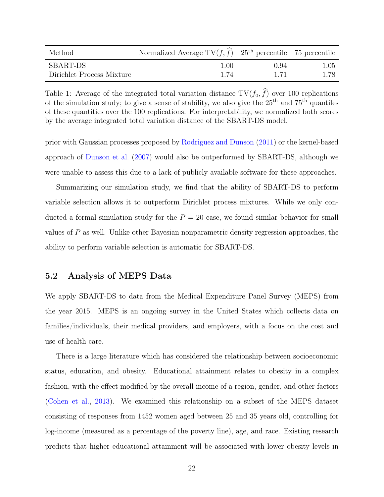| Method                    | Normalized Average $TV(f, \hat{f})$ 25 <sup>th</sup> percentile 75 percentile |      |      |
|---------------------------|-------------------------------------------------------------------------------|------|------|
| <b>SBART-DS</b>           | 1.00                                                                          | 0.94 | 1.05 |
| Dirichlet Process Mixture | 1.74                                                                          | 1 71 | 1.78 |

<span id="page-21-0"></span>Table 1: Average of the integrated total variation distance  $TV(f_0, \hat{f})$  over 100 replications of the simulation study; to give a sense of stability, we also give the  $25<sup>th</sup>$  and  $75<sup>th</sup>$  quantiles of these quantities over the 100 replications. For interpretability, we normalized both scores by the average integrated total variation distance of the SBART-DS model.

prior with Gaussian processes proposed by [Rodriguez and Dunson](#page-32-0) [\(2011\)](#page-32-0) or the kernel-based approach of [Dunson et al.](#page-30-7) [\(2007\)](#page-30-7) would also be outperformed by SBART-DS, although we were unable to assess this due to a lack of publicly available software for these approaches.

Summarizing our simulation study, we find that the ability of SBART-DS to perform variable selection allows it to outperform Dirichlet process mixtures. While we only conducted a formal simulation study for the  $P = 20$  case, we found similar behavior for small values of  $P$  as well. Unlike other Bayesian nonparametric density regression approaches, the ability to perform variable selection is automatic for SBART-DS.

#### 5.2 Analysis of MEPS Data

We apply SBART-DS to data from the Medical Expenditure Panel Survey (MEPS) from the year 2015. MEPS is an ongoing survey in the United States which collects data on families/individuals, their medical providers, and employers, with a focus on the cost and use of health care.

There is a large literature which has considered the relationship between socioeconomic status, education, and obesity. Educational attainment relates to obesity in a complex fashion, with the effect modified by the overall income of a region, gender, and other factors [\(Cohen et al.,](#page-30-9) [2013\)](#page-30-9). We examined this relationship on a subset of the MEPS dataset consisting of responses from 1452 women aged between 25 and 35 years old, controlling for log-income (measured as a percentage of the poverty line), age, and race. Existing research predicts that higher educational attainment will be associated with lower obesity levels in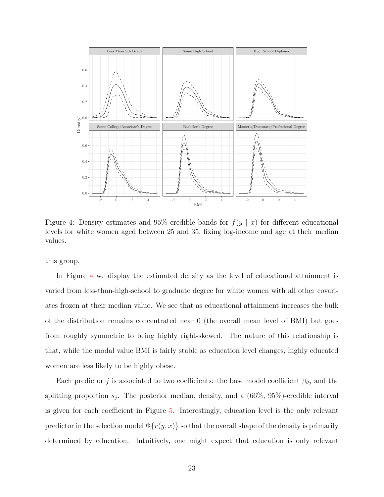

<span id="page-22-0"></span>Figure 4: Density estimates and 95% credible bands for  $f(y | x)$  for different educational levels for white women aged between 25 and 35, fixing log-income and age at their median values.

this group.

In Figure [4](#page-22-0) we display the estimated density as the level of educational attainment is varied from less-than-high-school to graduate degree for white women with all other covariates frozen at their median value. We see that as educational attainment increases the bulk of the distribution remains concentrated near 0 (the overall mean level of BMI) but goes from roughly symmetric to being highly right-skewed. The nature of this relationship is that, while the modal value BMI is fairly stable as education level changes, highly educated women are less likely to be highly obese.

Each predictor j is associated to two coefficients: the base model coefficient  $\beta_{\theta j}$  and the splitting proportion  $s_j$ . The posterior median, density, and a  $(66\%, 95\%)$ -credible interval is given for each coefficient in Figure [5.](#page-23-1) Interestingly, education level is the only relevant predictor in the selection model  $\Phi\{r(y, x)\}$  so that the overall shape of the density is primarily determined by education. Intuitively, one might expect that education is only relevant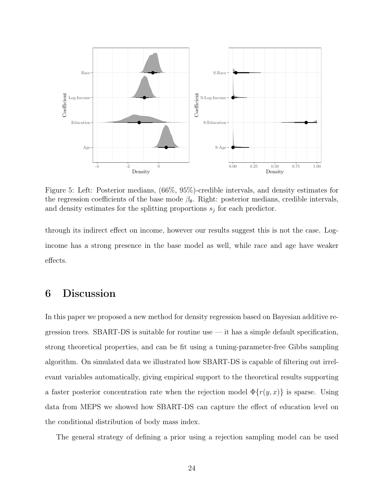

<span id="page-23-1"></span>Figure 5: Left: Posterior medians, (66%, 95%)-credible intervals, and density estimates for the regression coefficients of the base mode  $\beta_{\theta}$ . Right: posterior medians, credible intervals, and density estimates for the splitting proportions  $s_j$  for each predictor.

through its indirect effect on income, however our results suggest this is not the case. Logincome has a strong presence in the base model as well, while race and age have weaker effects.

## <span id="page-23-0"></span>6 Discussion

In this paper we proposed a new method for density regression based on Bayesian additive regression trees. SBART-DS is suitable for routine use  $-$  it has a simple default specification, strong theoretical properties, and can be fit using a tuning-parameter-free Gibbs sampling algorithm. On simulated data we illustrated how SBART-DS is capable of filtering out irrelevant variables automatically, giving empirical support to the theoretical results supporting a faster posterior concentration rate when the rejection model  $\Phi(r(y, x))$  is sparse. Using data from MEPS we showed how SBART-DS can capture the effect of education level on the conditional distribution of body mass index.

The general strategy of defining a prior using a rejection sampling model can be used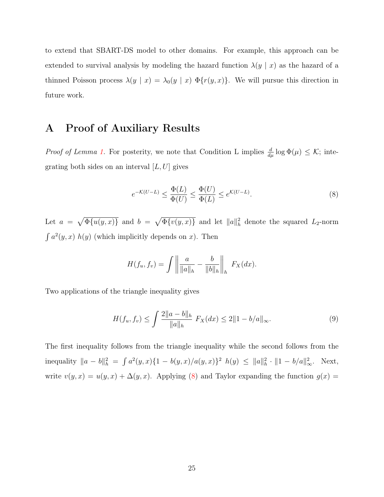to extend that SBART-DS model to other domains. For example, this approach can be extended to survival analysis by modeling the hazard function  $\lambda(y \mid x)$  as the hazard of a thinned Poisson process  $\lambda(y \mid x) = \lambda_0(y \mid x) \Phi\{r(y, x)\}\.$  We will pursue this direction in future work.

### A Proof of Auxiliary Results

*Proof of Lemma [1.](#page-17-0)* For posterity, we note that Condition L implies  $\frac{d}{d\mu} \log \Phi(\mu) \leq \mathcal{K}$ ; integrating both sides on an interval  $[L, U]$  gives

<span id="page-24-0"></span>
$$
e^{-\mathcal{K}(U-L)} \le \frac{\Phi(L)}{\Phi(U)} \le \frac{\Phi(U)}{\Phi(L)} \le e^{\mathcal{K}(U-L)}.\tag{8}
$$

Let  $a = \sqrt{\Phi\{u(y, x)\}}$  and  $b = \sqrt{\Phi\{v(y, x)\}}$  and let  $||a||_h^2$  denote the squared  $L_2$ -norm  $\int a^2(y, x) h(y)$  (which implicitly depends on x). Then

$$
H(f_u, f_v) = \int \left\| \frac{a}{\|a\|_h} - \frac{b}{\|b\|_h} \right\|_h F_X(dx).
$$

Two applications of the triangle inequality gives

<span id="page-24-1"></span>
$$
H(f_u, f_v) \le \int \frac{2\|a - b\|_h}{\|a\|_h} \ F_X(dx) \le 2\|1 - b/a\|_\infty. \tag{9}
$$

The first inequality follows from the triangle inequality while the second follows from the inequality  $||a - b||_h^2 = \int a^2(y, x) \{1 - b(y, x)/a(y, x)\}^2 h(y) \le ||a||_h^2 \cdot ||1 - b/a||_\infty^2$ . Next, write  $v(y, x) = u(y, x) + \Delta(y, x)$ . Applying [\(8\)](#page-24-0) and Taylor expanding the function  $g(x) =$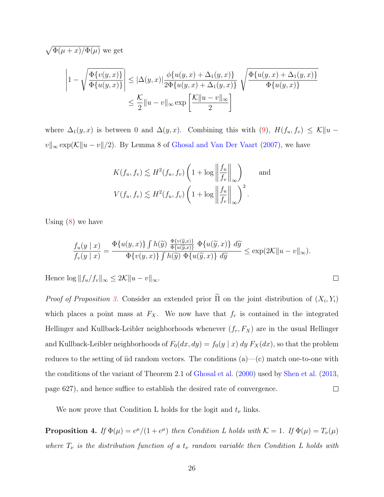$$
\sqrt{\Phi(\mu+x)/\Phi(\mu)}
$$
 we get

$$
\left|1 - \sqrt{\frac{\Phi\{v(y,x)\}}{\Phi\{u(y,x)\}}}\right| \leq |\Delta(y,x)| \frac{\phi\{u(y,x) + \Delta_1(y,x)\}}{2\Phi\{u(y,x) + \Delta_1(y,x)\}} \sqrt{\frac{\Phi\{u(y,x) + \Delta_1(y,x)\}}{\Phi\{u(y,x)\}}}
$$

$$
\leq \frac{\mathcal{K}}{2} ||u-v||_{\infty} \exp\left[\frac{\mathcal{K} ||u-v||_{\infty}}{2}\right]
$$

where  $\Delta_1(y, x)$  is between 0 and  $\Delta(y, x)$ . Combining this with [\(9\)](#page-24-1),  $H(f_u, f_v) \leq \mathcal{K} ||u$  $v||_{\infty} \exp(\mathcal{K}||u - v||/2)$ . By Lemma 8 of [Ghosal and Van Der Vaart](#page-30-10) [\(2007\)](#page-30-10), we have

$$
K(f_u, f_v) \lesssim H^2(f_u, f_v) \left(1 + \log \left\| \frac{f_u}{f_v} \right\|_{\infty}\right) \quad \text{and}
$$
  

$$
V(f_u, f_v) \lesssim H^2(f_u, f_v) \left(1 + \log \left\| \frac{f_u}{f_v} \right\|_{\infty}\right)^2.
$$

Using  $(8)$  we have

$$
\frac{f_u(y \mid x)}{f_v(y \mid x)} = \frac{\Phi\{u(y,x)\}\int h(\widetilde{y}) \frac{\Phi\{v(\widetilde{y},x)\}}{\Phi\{u(\widetilde{y},x)\}\Phi\{u(\widetilde{y},x)\}} d\widetilde{y}}{\Phi\{v(y,x)\}\int h(\widetilde{y}) \Phi\{u(\widetilde{y},x)\} d\widetilde{y}} \le \exp(2\mathcal{K}||u-v||_{\infty}).
$$

 $\Box$ 

Hence  $\log ||f_u/f_v||_{\infty} \leq 2\mathcal{K}||u - v||_{\infty}$ .

Proof of Proposition [3.](#page-16-1) Consider an extended prior  $\Pi$  on the joint distribution of  $(X_i, Y_i)$ which places a point mass at  $F_X$ . We now have that  $f_r$  is contained in the integrated Hellinger and Kullback-Leibler neighborhoods whenever  $(f_r, F_X)$  are in the usual Hellinger and Kullback-Leibler neighborhoods of  $F_0(dx, dy) = f_0(y | x) dy F_X(dx)$ , so that the problem reduces to the setting of iid random vectors. The conditions  $(a)$ — $(c)$  match one-to-one with the conditions of the variant of Theorem 2.1 of [Ghosal et al.](#page-30-6) [\(2000\)](#page-30-6) used by [Shen et al.](#page-32-9) [\(2013,](#page-32-9) page 627), and hence suffice to establish the desired rate of convergence.  $\Box$ 

We now prove that Condition L holds for the logit and  $t_{\nu}$  links.

**Proposition 4.** If  $\Phi(\mu) = e^{\mu}/(1 + e^{\mu})$  then Condition L holds with  $K = 1$ . If  $\Phi(\mu) = T_{\nu}(\mu)$ where  $T_{\nu}$  is the distribution function of a  $t_{\nu}$  random variable then Condition L holds with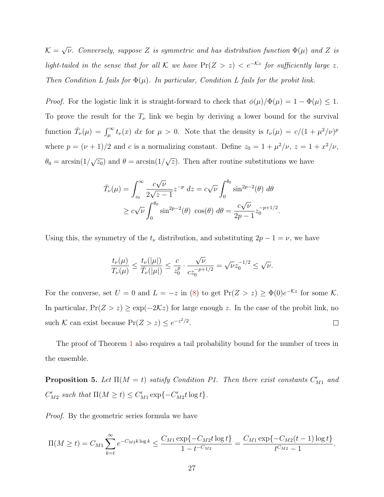$\mathcal{K} = \sqrt{\nu}$ . Conversely, suppose Z is symmetric and has distribution function  $\Phi(\mu)$  and Z is light-tailed in the sense that for all K we have  $Pr(Z > z) < e^{-Kz}$  for sufficiently large z. Then Condition L fails for  $\Phi(\mu)$ . In particular, Condition L fails for the probit link.

*Proof.* For the logistic link it is straight-forward to check that  $\phi(\mu)/\Phi(\mu) = 1 - \Phi(\mu) \leq 1$ . To prove the result for the  $T_{\nu}$  link we begin by deriving a lower bound for the survival function  $\bar{T}_{\nu}(\mu) = \int_{\mu}^{\infty} t_{\nu}(x) dx$  for  $\mu > 0$ . Note that the density is  $t_{\nu}(\mu) = c/(1 + \mu^2/\nu)^p$ where  $p = (\nu + 1)/2$  and c is a normalizing constant. Define  $z_0 = 1 + \mu^2/\nu$ ,  $z = 1 + \frac{x^2}{\nu}$ ,  $\theta_0 = \arcsin(1/\sqrt{z_0})$  and  $\theta = \arcsin(1/\sqrt{z})$ . Then after routine substitutions we have

$$
\bar{T}_{\nu}(\mu) = \int_{z_0}^{\infty} \frac{c\sqrt{\nu}}{2\sqrt{z-1}} z^{-p} dz = c\sqrt{\nu} \int_{0}^{\theta_0} \sin^{2p-2}(\theta) d\theta
$$
  
\n
$$
\geq c\sqrt{\nu} \int_{0}^{\theta_0} \sin^{2p-2}(\theta) \cos(\theta) d\theta = \frac{c\sqrt{\nu}}{2p-1} z_0^{-p+1/2}.
$$

Using this, the symmetry of the  $t_{\nu}$  distribution, and substituting  $2p - 1 = \nu$ , we have

$$
\frac{t_{\nu}(\mu)}{T_{\nu}(\mu)} \le \frac{t_{\nu}(|\mu|)}{\bar{T}_{\nu}(|\mu|)} \le \frac{c}{z_0^p} \cdot \frac{\sqrt{\nu}}{cz_0^{-p+1/2}} = \sqrt{\nu}z_0^{-1/2} \le \sqrt{\nu}.
$$

For the converse, set  $U = 0$  and  $L = -z$  in [\(8\)](#page-24-0) to get  $Pr(Z > z) \ge \Phi(0)e^{-\mathcal{K}z}$  for some  $\mathcal{K}$ . In particular,  $Pr(Z > z) \geq exp(-2\mathcal{K}z)$  for large enough z. In the case of the probit link, no such K can exist because  $Pr(Z > z) \leq e^{-z^2/2}$ .  $\Box$ 

The proof of Theorem [1](#page-16-0) also requires a tail probability bound for the number of trees in the ensemble.

<span id="page-26-0"></span>**Proposition 5.** Let  $\Pi(M = t)$  satisfy Condition P1. Then there exist constants  $C'_{M_1}$  and  $C'_{M2}$  such that  $\Pi(M \ge t) \le C'_{M1} \exp\{-C'_{M2}t \log t\}.$ 

Proof. By the geometric series formula we have

$$
\Pi(M \ge t) = C_{M1} \sum_{k=t}^{\infty} e^{-C_{M2}k \log k} \le \frac{C_{M1} \exp\{-C_{M2}t \log t\}}{1 - t^{-C_{M2}}} = \frac{C_{M1} \exp\{-C_{M2}(t-1) \log t\}}{t^{C_{M2}} - 1}.
$$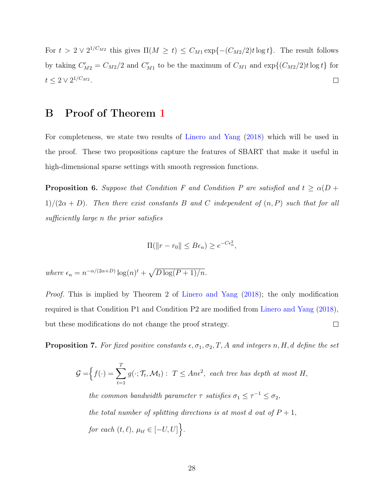For  $t > 2 \vee 2^{1/C_{M2}}$  this gives  $\Pi(M \ge t) \le C_{M1} \exp\{-(C_{M2}/2)t \log t\}$ . The result follows by taking  $C'_{M2} = C_{M2}/2$  and  $C'_{M1}$  to be the maximum of  $C_{M1}$  and  $\exp\{(C_{M2}/2)t \log t\}$  for  $t \leq 2 \vee 2^{1/C_{M2}}.$  $\Box$ 

### B Proof of Theorem [1](#page-16-0)

For completeness, we state two results of [Linero and Yang](#page-31-3) [\(2018\)](#page-31-3) which will be used in the proof. These two propositions capture the features of SBART that make it useful in high-dimensional sparse settings with smooth regression functions.

<span id="page-27-0"></span>**Proposition 6.** Suppose that Condition F and Condition P are satisfied and  $t \ge \alpha(D + \alpha)$  $1)/(2\alpha + D)$ . Then there exist constants B and C independent of  $(n, P)$  such that for all sufficiently large n the prior satisfies

$$
\Pi(||r - r_0|| \le B\epsilon_n) \ge e^{-C\epsilon_n^2},
$$

where  $\epsilon_n = n^{-\alpha/(2\alpha+D)} \log(n)^t + \sqrt{D \log(P+1)/n}$ .

Proof. This is implied by Theorem 2 of [Linero and Yang](#page-31-3) [\(2018\)](#page-31-3); the only modification required is that Condition P1 and Condition P2 are modified from [Linero and Yang](#page-31-3) [\(2018\)](#page-31-3), but these modifications do not change the proof strategy.  $\Box$ 

<span id="page-27-1"></span>**Proposition 7.** For fixed positive constants  $\epsilon, \sigma_1, \sigma_2, T, A$  and integers n, H, d define the set

$$
\mathcal{G} = \Big\{ f(\cdot) = \sum_{t=1}^{T} g(\cdot; \mathcal{T}_t, \mathcal{M}_t) : T \le An\epsilon^2, \text{ each tree has depth at most } H,
$$
  
the common bandwidth parameter  $\tau$  satisfies  $\sigma_1 \le \tau^{-1} \le \sigma_2$ ,  
the total number of splitting directions is at most d out of  $P + 1$ ,  
for each  $(t, \ell)$ ,  $\mu_{t\ell} \in [-U, U] \Big\}.$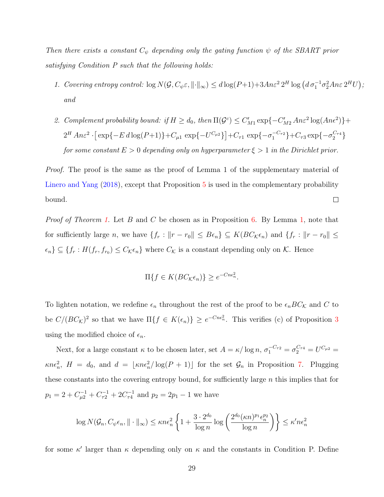Then there exists a constant  $C_{\psi}$  depending only the gating function  $\psi$  of the SBART prior satisfying Condition P such that the following holds:

- 1. Covering entropy control:  $\log N(\mathcal{G}, C_{\psi} \varepsilon, ||\cdot||_{\infty}) \leq d \log(P+1) + 3An\varepsilon^2 2^H \log \left( d \sigma_1^{-1} \sigma_2^2 An\varepsilon 2^H U \right);$ and
- 2. Complement probability bound: if  $H \geq d_0$ , then  $\Pi(\mathcal{G}^c) \leq C'_{M1} \exp\{-C'_{M2} An\varepsilon^2 \log(An\varepsilon^2)\} +$  $2^H An \varepsilon^2 \cdot [\exp\{-E d \log(P+1)\} + C_{\mu 1} \exp\{-U^{C_{\mu 2}}\}] + C_{\tau 1} \exp\{-\sigma_1^{-C_{\tau 2}}\} + C_{\tau 3} \exp\{-\sigma_2^{C_{\tau 4}}\}$ for some constant  $E > 0$  depending only on hyperparameter  $\xi > 1$  in the Dirichlet prior.

Proof. The proof is the same as the proof of Lemma 1 of the supplementary material of [Linero and Yang](#page-31-3) [\(2018\)](#page-31-3), except that Proposition [5](#page-26-0) is used in the complementary probability bound.  $\Box$ 

*Proof of Theorem [1.](#page-16-0)* Let B and C be chosen as in Proposition [6.](#page-27-0) By Lemma [1,](#page-17-0) note that for sufficiently large n, we have  $\{f_r : ||r - r_0|| \leq B\epsilon_n\} \subseteq K(BC_{\mathcal{K}}\epsilon_n)$  and  $\{f_r : ||r - r_0|| \leq$  $\{\epsilon_n\} \subseteq \{f_r : H(f_r, f_{r_0}) \leq C_{\mathcal{K}}\epsilon_n\}$  where  $C_{\mathcal{K}}$  is a constant depending only on  $\mathcal{K}$ . Hence

$$
\Pi\{f \in K(BC_{\mathcal{K}}\epsilon_n)\} \geq e^{-Cn\epsilon_n^2}.
$$

To lighten notation, we redefine  $\epsilon_n$  throughout the rest of the proof to be  $\epsilon_n BC_{\mathcal{K}}$  and C to be  $C/(BC_{\mathcal{K}})^2$  so that we have  $\Pi\{f \in K(\epsilon_n)\}\geq e^{-Cn\epsilon_n^2}$ . This verifies (c) of Proposition [3](#page-16-1) using the modified choice of  $\epsilon_n$ .

Next, for a large constant  $\kappa$  to be chosen later, set  $A = \kappa / \log n$ ,  $\sigma_1^{-C_{\tau 2}} = \sigma_2^{C_{\tau 4}} = U^{C_{\mu 2}} =$  $\kappa n \epsilon_n^2$ ,  $H = d_0$ , and  $d = \lfloor \kappa n \epsilon_n^2 / \log(P + 1) \rfloor$  for the set  $\mathcal{G}_n$  in Proposition [7.](#page-27-1) Plugging these constants into the covering entropy bound, for sufficiently large  $n$  this implies that for  $p_1 = 2 + C_{\mu 2}^{-1} + C_{\tau 2}^{-1} + 2C_{\tau 4}^{-1}$  and  $p_2 = 2p_1 - 1$  we have

$$
\log N(\mathcal{G}_n, C_{\psi} \epsilon_n, \|\cdot\|_{\infty}) \le \kappa n \epsilon_n^2 \left\{ 1 + \frac{3 \cdot 2^{d_0}}{\log n} \log \left( \frac{2^{d_0} (\kappa n)^{p_1} \epsilon_n^{p_2}}{\log n} \right) \right\} \le \kappa' n \epsilon_n^2
$$

for some  $\kappa'$  larger than  $\kappa$  depending only on  $\kappa$  and the constants in Condition P. Define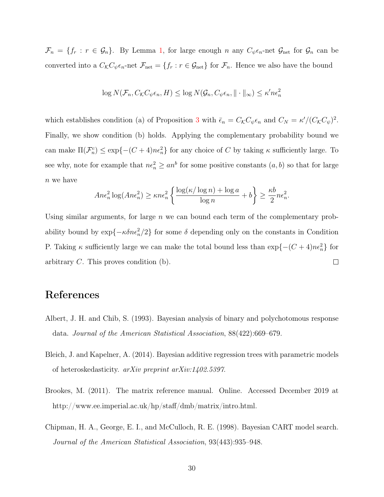$\mathcal{F}_n = \{f_r : r \in \mathcal{G}_n\}$ . By Lemma [1,](#page-17-0) for large enough n any  $C_{\psi} \epsilon_n$ -net  $\mathcal{G}_{\text{net}}$  for  $\mathcal{G}_n$  can be converted into a  $C_{\mathcal{K}}C_{\psi}\epsilon_n$ -net  $\mathcal{F}_{\text{net}} = \{f_r : r \in \mathcal{G}_{\text{net}}\}$  for  $\mathcal{F}_n$ . Hence we also have the bound

$$
\log N(\mathcal{F}_n, C_{\mathcal{K}}C_{\psi}\epsilon_n, H) \leq \log N(\mathcal{G}_n, C_{\psi}\epsilon_n, \|\cdot\|_{\infty}) \leq \kappa' n \epsilon_n^2
$$

which establishes condition (a) of Proposition [3](#page-16-1) with  $\bar{\epsilon}_n = C_{\mathcal{K}} C_{\psi} \epsilon_n$  and  $C_N = \kappa' / (C_{\mathcal{K}} C_{\psi})^2$ . Finally, we show condition (b) holds. Applying the complementary probability bound we can make  $\Pi(\mathcal{F}_n^c) \leq \exp\{- (C+4)n\epsilon_n^2\}$  for any choice of C by taking  $\kappa$  sufficiently large. To see why, note for example that  $n\epsilon_n^2 \geq an^b$  for some positive constants  $(a, b)$  so that for large  $n$  we have

$$
An\epsilon_n^2 \log (An\epsilon_n^2) \ge \kappa n\epsilon_n^2 \left\{ \frac{\log(\kappa/\log n) + \log a}{\log n} + b \right\} \ge \frac{\kappa b}{2} n\epsilon_n^2.
$$

Using similar arguments, for large  $n$  we can bound each term of the complementary probability bound by  $\exp{\{-\kappa \delta n \epsilon_n^2/2\}}$  for some  $\delta$  depending only on the constants in Condition P. Taking  $\kappa$  sufficiently large we can make the total bound less than  $\exp\{-(C+4)n\epsilon_n^2\}$  for  $\Box$ arbitrary C. This proves condition (b).

### References

- <span id="page-29-0"></span>Albert, J. H. and Chib, S. (1993). Bayesian analysis of binary and polychotomous response data. Journal of the American Statistical Association, 88(422):669–679.
- <span id="page-29-1"></span>Bleich, J. and Kapelner, A. (2014). Bayesian additive regression trees with parametric models of heteroskedasticity. arXiv preprint arXiv:1402.5397.
- <span id="page-29-2"></span>Brookes, M. (2011). The matrix reference manual. Online. Accessed December 2019 at http://www.ee.imperial.ac.uk/hp/staff/dmb/matrix/intro.html.
- <span id="page-29-3"></span>Chipman, H. A., George, E. I., and McCulloch, R. E. (1998). Bayesian CART model search. Journal of the American Statistical Association, 93(443):935–948.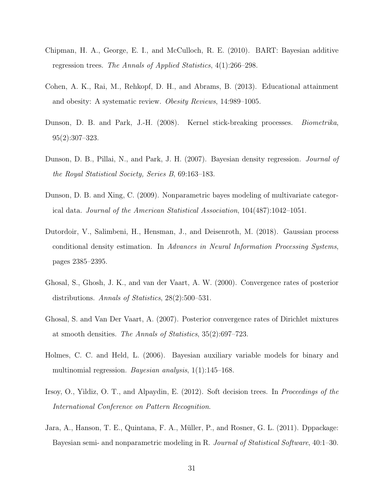- <span id="page-30-3"></span>Chipman, H. A., George, E. I., and McCulloch, R. E. (2010). BART: Bayesian additive regression trees. The Annals of Applied Statistics, 4(1):266–298.
- <span id="page-30-9"></span>Cohen, A. K., Rai, M., Rehkopf, D. H., and Abrams, B. (2013). Educational attainment and obesity: A systematic review. Obesity Reviews, 14:989–1005.
- <span id="page-30-1"></span>Dunson, D. B. and Park, J.-H. (2008). Kernel stick-breaking processes. Biometrika, 95(2):307–323.
- <span id="page-30-7"></span>Dunson, D. B., Pillai, N., and Park, J. H. (2007). Bayesian density regression. Journal of the Royal Statistical Society, Series B, 69:163–183.
- <span id="page-30-0"></span>Dunson, D. B. and Xing, C. (2009). Nonparametric bayes modeling of multivariate categorical data. Journal of the American Statistical Association, 104(487):1042–1051.
- <span id="page-30-2"></span>Dutordoir, V., Salimbeni, H., Hensman, J., and Deisenroth, M. (2018). Gaussian process conditional density estimation. In Advances in Neural Information Processing Systems, pages 2385–2395.
- <span id="page-30-6"></span>Ghosal, S., Ghosh, J. K., and van der Vaart, A. W. (2000). Convergence rates of posterior distributions. Annals of Statistics, 28(2):500–531.
- <span id="page-30-10"></span>Ghosal, S. and Van Der Vaart, A. (2007). Posterior convergence rates of Dirichlet mixtures at smooth densities. The Annals of Statistics, 35(2):697–723.
- <span id="page-30-5"></span>Holmes, C. C. and Held, L. (2006). Bayesian auxiliary variable models for binary and multinomial regression. Bayesian analysis, 1(1):145–168.
- <span id="page-30-4"></span>Irsoy, O., Yildiz, O. T., and Alpaydin, E. (2012). Soft decision trees. In Proceedings of the International Conference on Pattern Recognition.
- <span id="page-30-8"></span>Jara, A., Hanson, T. E., Quintana, F. A., Müller, P., and Rosner, G. L. (2011). Dppackage: Bayesian semi- and nonparametric modeling in R. Journal of Statistical Software, 40:1–30.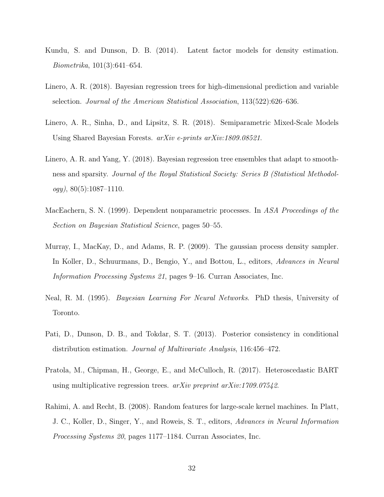- <span id="page-31-1"></span>Kundu, S. and Dunson, D. B. (2014). Latent factor models for density estimation. Biometrika, 101(3):641–654.
- <span id="page-31-4"></span>Linero, A. R. (2018). Bayesian regression trees for high-dimensional prediction and variable selection. Journal of the American Statistical Association, 113(522):626–636.
- <span id="page-31-8"></span>Linero, A. R., Sinha, D., and Lipsitz, S. R. (2018). Semiparametric Mixed-Scale Models Using Shared Bayesian Forests. arXiv e-prints arXiv:1809.08521.
- <span id="page-31-3"></span>Linero, A. R. and Yang, Y. (2018). Bayesian regression tree ensembles that adapt to smoothness and sparsity. Journal of the Royal Statistical Society: Series B (Statistical Methodol $ogy)$ , 80(5):1087-1110.
- <span id="page-31-0"></span>MacEachern, S. N. (1999). Dependent nonparametric processes. In ASA Proceedings of the Section on Bayesian Statistical Science, pages 50–55.
- <span id="page-31-2"></span>Murray, I., MacKay, D., and Adams, R. P. (2009). The gaussian process density sampler. In Koller, D., Schuurmans, D., Bengio, Y., and Bottou, L., editors, Advances in Neural Information Processing Systems 21, pages 9–16. Curran Associates, Inc.
- <span id="page-31-5"></span>Neal, R. M. (1995). Bayesian Learning For Neural Networks. PhD thesis, University of Toronto.
- <span id="page-31-9"></span>Pati, D., Dunson, D. B., and Tokdar, S. T. (2013). Posterior consistency in conditional distribution estimation. Journal of Multivariate Analysis, 116:456–472.
- <span id="page-31-7"></span>Pratola, M., Chipman, H., George, E., and McCulloch, R. (2017). Heteroscedastic BART using multiplicative regression trees.  $arXiv$  preprint  $arXiv:1709.07542$ .
- <span id="page-31-6"></span>Rahimi, A. and Recht, B. (2008). Random features for large-scale kernel machines. In Platt, J. C., Koller, D., Singer, Y., and Roweis, S. T., editors, Advances in Neural Information Processing Systems 20, pages 1177–1184. Curran Associates, Inc.